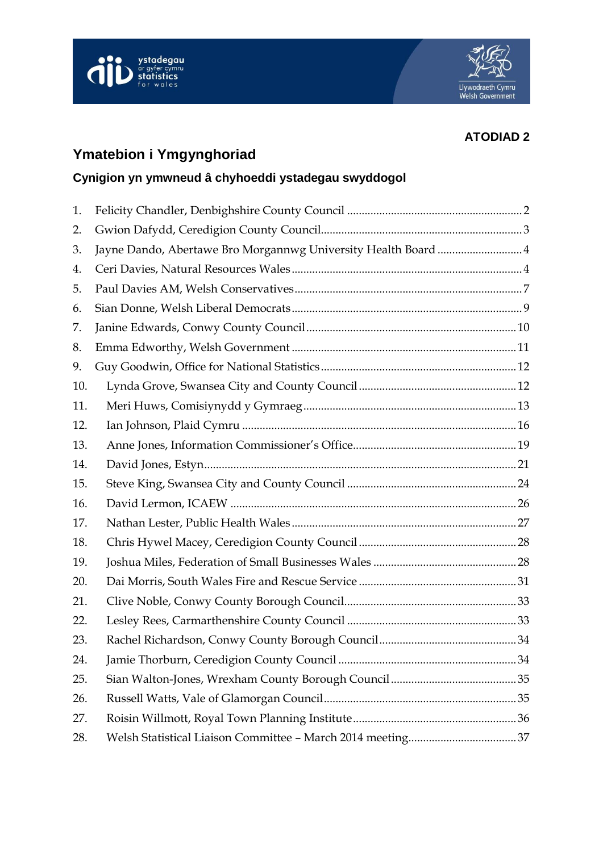



# **ATODIAD 2**

# **Ymatebion i Ymgynghoriad**

# **Cynigion yn ymwneud â chyhoeddi ystadegau swyddogol**

| 1.  |                                                                |  |
|-----|----------------------------------------------------------------|--|
| 2.  |                                                                |  |
| 3.  | Jayne Dando, Abertawe Bro Morgannwg University Health Board  4 |  |
| 4.  |                                                                |  |
| 5.  |                                                                |  |
| 6.  |                                                                |  |
| 7.  |                                                                |  |
| 8.  |                                                                |  |
| 9.  |                                                                |  |
| 10. |                                                                |  |
| 11. |                                                                |  |
| 12. |                                                                |  |
| 13. |                                                                |  |
| 14. |                                                                |  |
| 15. |                                                                |  |
| 16. |                                                                |  |
| 17. |                                                                |  |
| 18. |                                                                |  |
| 19. |                                                                |  |
| 20. |                                                                |  |
| 21. |                                                                |  |
| 22. |                                                                |  |
| 23. |                                                                |  |
| 24. |                                                                |  |
| 25. |                                                                |  |
| 26. |                                                                |  |
| 27. |                                                                |  |
| 28. |                                                                |  |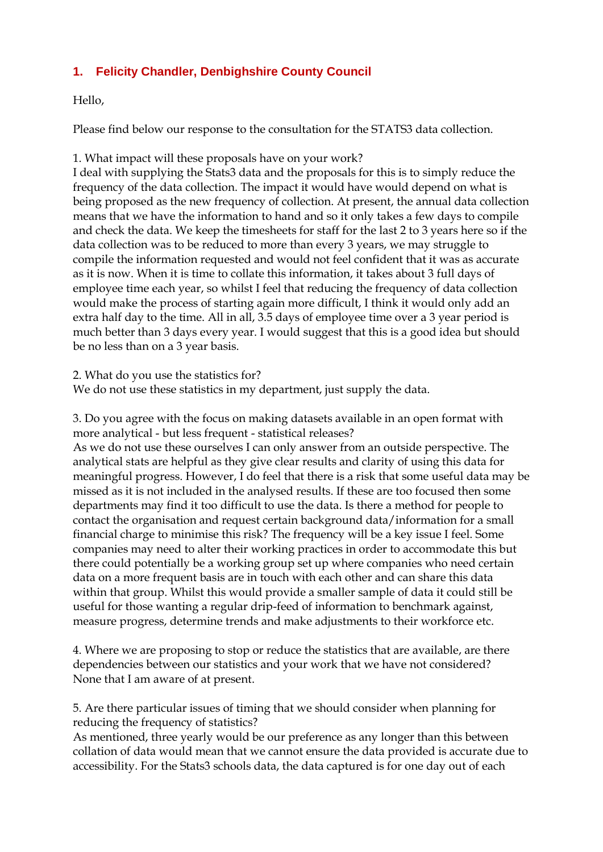# **1. Felicity Chandler, Denbighshire County Council**

Hello,

Please find below our response to the consultation for the STATS3 data collection.

1. What impact will these proposals have on your work?

I deal with supplying the Stats3 data and the proposals for this is to simply reduce the frequency of the data collection. The impact it would have would depend on what is being proposed as the new frequency of collection. At present, the annual data collection means that we have the information to hand and so it only takes a few days to compile and check the data. We keep the timesheets for staff for the last 2 to 3 years here so if the data collection was to be reduced to more than every 3 years, we may struggle to compile the information requested and would not feel confident that it was as accurate as it is now. When it is time to collate this information, it takes about 3 full days of employee time each year, so whilst I feel that reducing the frequency of data collection would make the process of starting again more difficult, I think it would only add an extra half day to the time. All in all, 3.5 days of employee time over a 3 year period is much better than 3 days every year. I would suggest that this is a good idea but should be no less than on a 3 year basis.

2. What do you use the statistics for?

We do not use these statistics in my department, just supply the data.

3. Do you agree with the focus on making datasets available in an open format with more analytical - but less frequent - statistical releases?

As we do not use these ourselves I can only answer from an outside perspective. The analytical stats are helpful as they give clear results and clarity of using this data for meaningful progress. However, I do feel that there is a risk that some useful data may be missed as it is not included in the analysed results. If these are too focused then some departments may find it too difficult to use the data. Is there a method for people to contact the organisation and request certain background data/information for a small financial charge to minimise this risk? The frequency will be a key issue I feel. Some companies may need to alter their working practices in order to accommodate this but there could potentially be a working group set up where companies who need certain data on a more frequent basis are in touch with each other and can share this data within that group. Whilst this would provide a smaller sample of data it could still be useful for those wanting a regular drip-feed of information to benchmark against, measure progress, determine trends and make adjustments to their workforce etc.

4. Where we are proposing to stop or reduce the statistics that are available, are there dependencies between our statistics and your work that we have not considered? None that I am aware of at present.

5. Are there particular issues of timing that we should consider when planning for reducing the frequency of statistics?

As mentioned, three yearly would be our preference as any longer than this between collation of data would mean that we cannot ensure the data provided is accurate due to accessibility. For the Stats3 schools data, the data captured is for one day out of each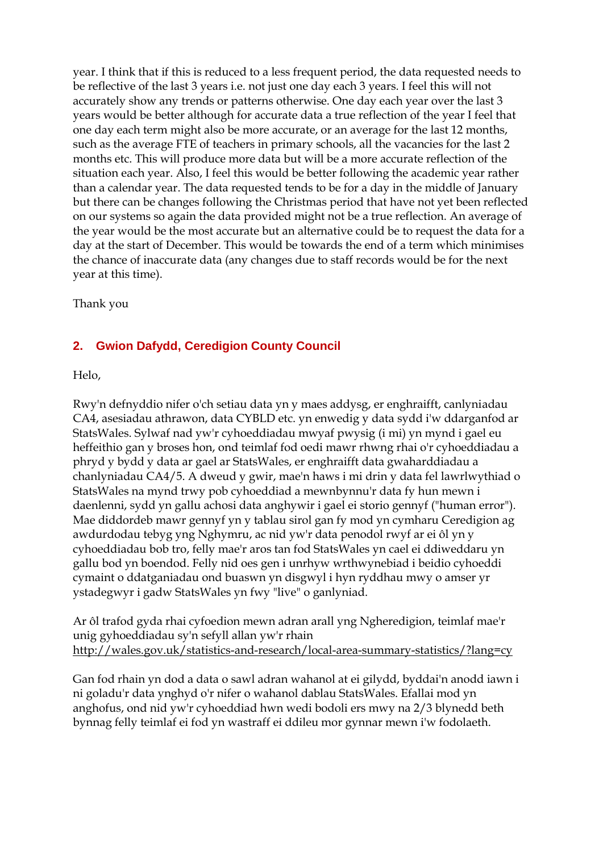year. I think that if this is reduced to a less frequent period, the data requested needs to be reflective of the last 3 years i.e. not just one day each 3 years. I feel this will not accurately show any trends or patterns otherwise. One day each year over the last 3 years would be better although for accurate data a true reflection of the year I feel that one day each term might also be more accurate, or an average for the last 12 months, such as the average FTE of teachers in primary schools, all the vacancies for the last 2 months etc. This will produce more data but will be a more accurate reflection of the situation each year. Also, I feel this would be better following the academic year rather than a calendar year. The data requested tends to be for a day in the middle of January but there can be changes following the Christmas period that have not yet been reflected on our systems so again the data provided might not be a true reflection. An average of the year would be the most accurate but an alternative could be to request the data for a day at the start of December. This would be towards the end of a term which minimises the chance of inaccurate data (any changes due to staff records would be for the next year at this time).

Thank you

# <span id="page-2-0"></span>**2. Gwion Dafydd, Ceredigion County Council**

Helo,

Rwy'n defnyddio nifer o'ch setiau data yn y maes addysg, er enghraifft, canlyniadau CA4, asesiadau athrawon, data CYBLD etc. yn enwedig y data sydd i'w ddarganfod ar StatsWales. Sylwaf nad yw'r cyhoeddiadau mwyaf pwysig (i mi) yn mynd i gael eu heffeithio gan y broses hon, ond teimlaf fod oedi mawr rhwng rhai o'r cyhoeddiadau a phryd y bydd y data ar gael ar StatsWales, er enghraifft data gwaharddiadau a chanlyniadau CA4/5. A dweud y gwir, mae'n haws i mi drin y data fel lawrlwythiad o StatsWales na mynd trwy pob cyhoeddiad a mewnbynnu'r data fy hun mewn i daenlenni, sydd yn gallu achosi data anghywir i gael ei storio gennyf ("human error"). Mae diddordeb mawr gennyf yn y tablau sirol gan fy mod yn cymharu Ceredigion ag awdurdodau tebyg yng Nghymru, ac nid yw'r data penodol rwyf ar ei ôl yn y cyhoeddiadau bob tro, felly mae'r aros tan fod StatsWales yn cael ei ddiweddaru yn gallu bod yn boendod. Felly nid oes gen i unrhyw wrthwynebiad i beidio cyhoeddi cymaint o ddatganiadau ond buaswn yn disgwyl i hyn ryddhau mwy o amser yr ystadegwyr i gadw StatsWales yn fwy "live" o ganlyniad.

Ar ôl trafod gyda rhai cyfoedion mewn adran arall yng Ngheredigion, teimlaf mae'r unig gyhoeddiadau sy'n sefyll allan yw'r rhain <http://wales.gov.uk/statistics-and-research/local-area-summary-statistics/?lang=cy>

Gan fod rhain yn dod a data o sawl adran wahanol at ei gilydd, byddai'n anodd iawn i ni goladu'r data ynghyd o'r nifer o wahanol dablau StatsWales. Efallai mod yn anghofus, ond nid yw'r cyhoeddiad hwn wedi bodoli ers mwy na 2/3 blynedd beth bynnag felly teimlaf ei fod yn wastraff ei ddileu mor gynnar mewn i'w fodolaeth.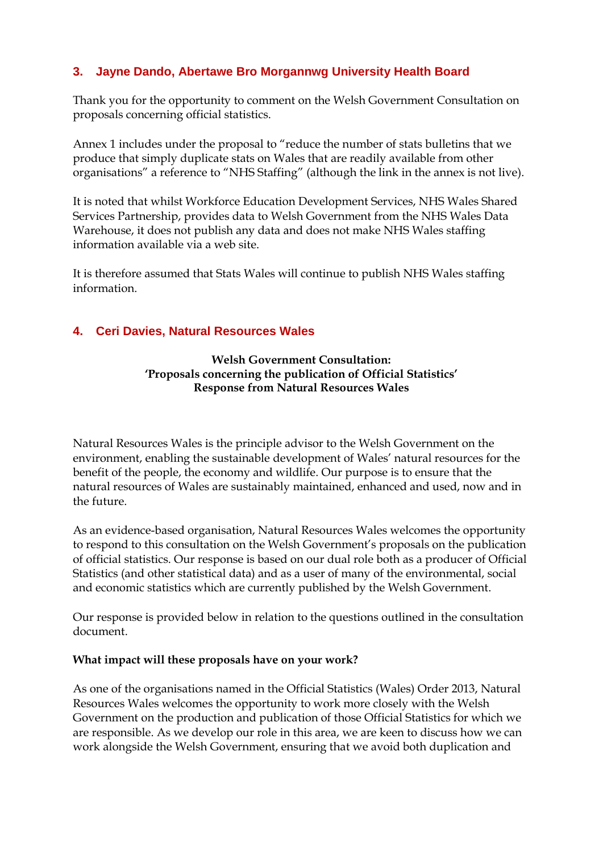# <span id="page-3-0"></span>**3. Jayne Dando, Abertawe Bro Morgannwg University Health Board**

Thank you for the opportunity to comment on the Welsh Government Consultation on proposals concerning official statistics.

Annex 1 includes under the proposal to "reduce the number of stats bulletins that we produce that simply duplicate stats on Wales that are readily available from other organisations" a reference to "NHS Staffing" (although the link in the annex is not live).

It is noted that whilst Workforce Education Development Services, NHS Wales Shared Services Partnership, provides data to Welsh Government from the NHS Wales Data Warehouse, it does not publish any data and does not make NHS Wales staffing information available via a web site.

It is therefore assumed that Stats Wales will continue to publish NHS Wales staffing information.

# <span id="page-3-1"></span>**4. Ceri Davies, Natural Resources Wales**

# **Welsh Government Consultation: 'Proposals concerning the publication of Official Statistics' Response from Natural Resources Wales**

Natural Resources Wales is the principle advisor to the Welsh Government on the environment, enabling the sustainable development of Wales' natural resources for the benefit of the people, the economy and wildlife. Our purpose is to ensure that the natural resources of Wales are sustainably maintained, enhanced and used, now and in the future.

As an evidence-based organisation, Natural Resources Wales welcomes the opportunity to respond to this consultation on the Welsh Government's proposals on the publication of official statistics. Our response is based on our dual role both as a producer of Official Statistics (and other statistical data) and as a user of many of the environmental, social and economic statistics which are currently published by the Welsh Government.

Our response is provided below in relation to the questions outlined in the consultation document.

# **What impact will these proposals have on your work?**

As one of the organisations named in the Official Statistics (Wales) Order 2013, Natural Resources Wales welcomes the opportunity to work more closely with the Welsh Government on the production and publication of those Official Statistics for which we are responsible. As we develop our role in this area, we are keen to discuss how we can work alongside the Welsh Government, ensuring that we avoid both duplication and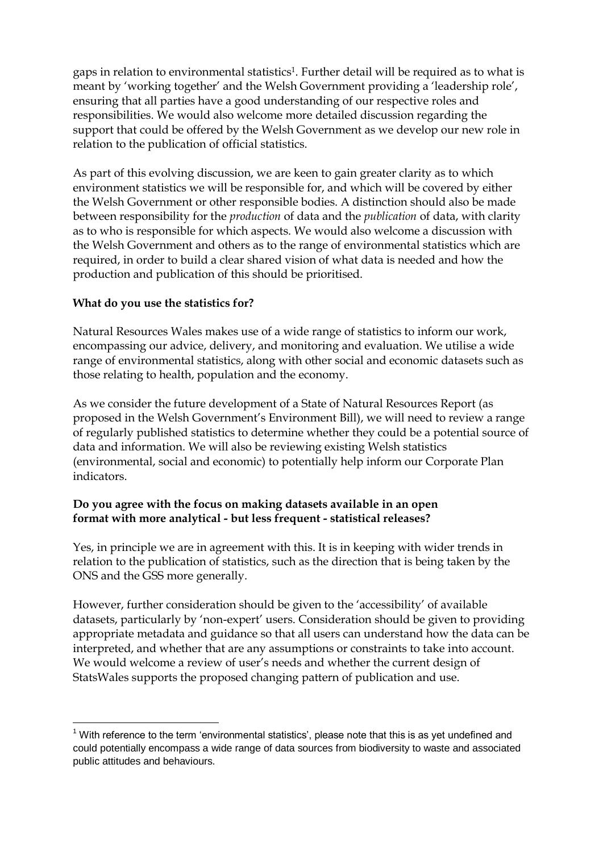gaps in relation to environmental statistics<sup>1</sup>. Further detail will be required as to what is meant by 'working together' and the Welsh Government providing a 'leadership role', ensuring that all parties have a good understanding of our respective roles and responsibilities. We would also welcome more detailed discussion regarding the support that could be offered by the Welsh Government as we develop our new role in relation to the publication of official statistics.

As part of this evolving discussion, we are keen to gain greater clarity as to which environment statistics we will be responsible for, and which will be covered by either the Welsh Government or other responsible bodies. A distinction should also be made between responsibility for the *production* of data and the *publication* of data, with clarity as to who is responsible for which aspects. We would also welcome a discussion with the Welsh Government and others as to the range of environmental statistics which are required, in order to build a clear shared vision of what data is needed and how the production and publication of this should be prioritised.

# **What do you use the statistics for?**

1

Natural Resources Wales makes use of a wide range of statistics to inform our work, encompassing our advice, delivery, and monitoring and evaluation. We utilise a wide range of environmental statistics, along with other social and economic datasets such as those relating to health, population and the economy.

As we consider the future development of a State of Natural Resources Report (as proposed in the Welsh Government's Environment Bill), we will need to review a range of regularly published statistics to determine whether they could be a potential source of data and information. We will also be reviewing existing Welsh statistics (environmental, social and economic) to potentially help inform our Corporate Plan indicators.

# **Do you agree with the focus on making datasets available in an open format with more analytical - but less frequent - statistical releases?**

Yes, in principle we are in agreement with this. It is in keeping with wider trends in relation to the publication of statistics, such as the direction that is being taken by the ONS and the GSS more generally.

However, further consideration should be given to the 'accessibility' of available datasets, particularly by 'non-expert' users. Consideration should be given to providing appropriate metadata and guidance so that all users can understand how the data can be interpreted, and whether that are any assumptions or constraints to take into account. We would welcome a review of user's needs and whether the current design of StatsWales supports the proposed changing pattern of publication and use.

 $<sup>1</sup>$  With reference to the term 'environmental statistics', please note that this is as yet undefined and</sup> could potentially encompass a wide range of data sources from biodiversity to waste and associated public attitudes and behaviours.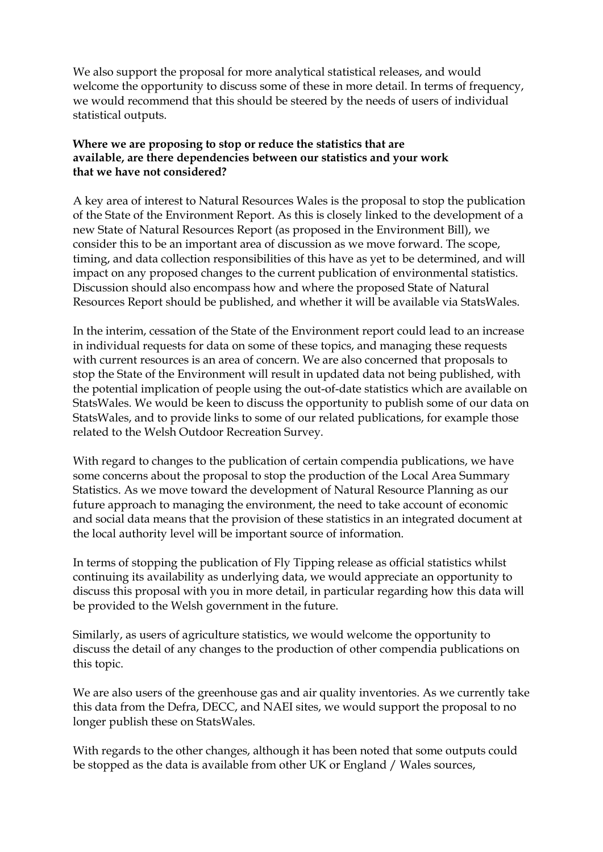We also support the proposal for more analytical statistical releases, and would welcome the opportunity to discuss some of these in more detail. In terms of frequency, we would recommend that this should be steered by the needs of users of individual statistical outputs.

# **Where we are proposing to stop or reduce the statistics that are available, are there dependencies between our statistics and your work that we have not considered?**

A key area of interest to Natural Resources Wales is the proposal to stop the publication of the State of the Environment Report. As this is closely linked to the development of a new State of Natural Resources Report (as proposed in the Environment Bill), we consider this to be an important area of discussion as we move forward. The scope, timing, and data collection responsibilities of this have as yet to be determined, and will impact on any proposed changes to the current publication of environmental statistics. Discussion should also encompass how and where the proposed State of Natural Resources Report should be published, and whether it will be available via StatsWales.

In the interim, cessation of the State of the Environment report could lead to an increase in individual requests for data on some of these topics, and managing these requests with current resources is an area of concern. We are also concerned that proposals to stop the State of the Environment will result in updated data not being published, with the potential implication of people using the out-of-date statistics which are available on StatsWales. We would be keen to discuss the opportunity to publish some of our data on StatsWales, and to provide links to some of our related publications, for example those related to the Welsh Outdoor Recreation Survey.

With regard to changes to the publication of certain compendia publications, we have some concerns about the proposal to stop the production of the Local Area Summary Statistics. As we move toward the development of Natural Resource Planning as our future approach to managing the environment, the need to take account of economic and social data means that the provision of these statistics in an integrated document at the local authority level will be important source of information.

In terms of stopping the publication of Fly Tipping release as official statistics whilst continuing its availability as underlying data, we would appreciate an opportunity to discuss this proposal with you in more detail, in particular regarding how this data will be provided to the Welsh government in the future.

Similarly, as users of agriculture statistics, we would welcome the opportunity to discuss the detail of any changes to the production of other compendia publications on this topic.

We are also users of the greenhouse gas and air quality inventories. As we currently take this data from the Defra, DECC, and NAEI sites, we would support the proposal to no longer publish these on StatsWales.

With regards to the other changes, although it has been noted that some outputs could be stopped as the data is available from other UK or England / Wales sources,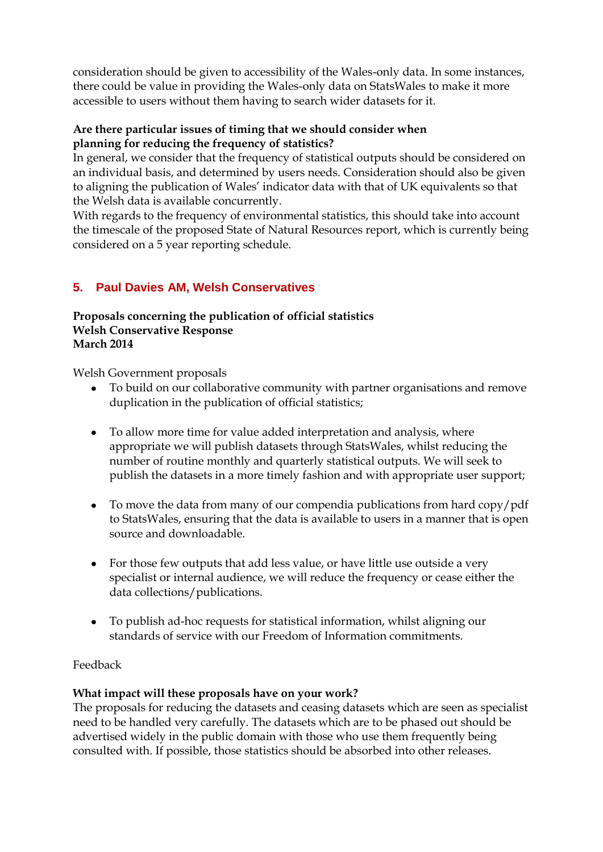consideration should be given to accessibility of the Wales-only data. In some instances, there could be value in providing the Wales-only data on StatsWales to make it more accessible to users without them having to search wider datasets for it.

# **Are there particular issues of timing that we should consider when planning for reducing the frequency of statistics?**

In general, we consider that the frequency of statistical outputs should be considered on an individual basis, and determined by users needs. Consideration should also be given to aligning the publication of Wales' indicator data with that of UK equivalents so that the Welsh data is available concurrently.

With regards to the frequency of environmental statistics, this should take into account the timescale of the proposed State of Natural Resources report, which is currently being considered on a 5 year reporting schedule.

# <span id="page-6-0"></span>**5. Paul Davies AM, Welsh Conservatives**

#### **Proposals concerning the publication of official statistics Welsh Conservative Response March 2014**

Welsh Government proposals

- To build on our collaborative community with partner organisations and remove duplication in the publication of official statistics;
- To allow more time for value added interpretation and analysis, where appropriate we will publish datasets through StatsWales, whilst reducing the number of routine monthly and quarterly statistical outputs. We will seek to publish the datasets in a more timely fashion and with appropriate user support;
- To move the data from many of our compendia publications from hard copy/pdf to StatsWales, ensuring that the data is available to users in a manner that is open source and downloadable.
- For those few outputs that add less value, or have little use outside a very specialist or internal audience, we will reduce the frequency or cease either the data collections/publications.
- To publish ad-hoc requests for statistical information, whilst aligning our standards of service with our Freedom of Information commitments.

# Feedback

# **What impact will these proposals have on your work?**

The proposals for reducing the datasets and ceasing datasets which are seen as specialist need to be handled very carefully. The datasets which are to be phased out should be advertised widely in the public domain with those who use them frequently being consulted with. If possible, those statistics should be absorbed into other releases.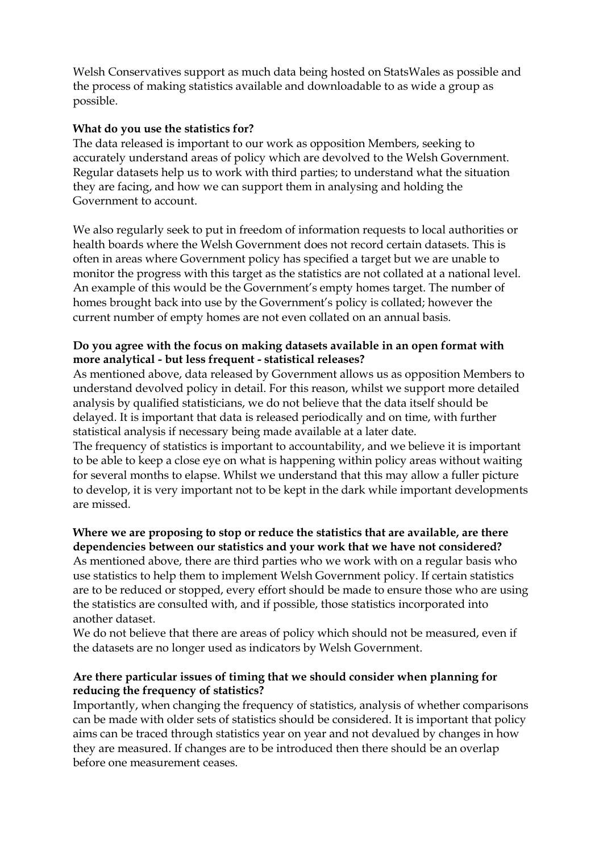Welsh Conservatives support as much data being hosted on StatsWales as possible and the process of making statistics available and downloadable to as wide a group as possible.

### **What do you use the statistics for?**

The data released is important to our work as opposition Members, seeking to accurately understand areas of policy which are devolved to the Welsh Government. Regular datasets help us to work with third parties; to understand what the situation they are facing, and how we can support them in analysing and holding the Government to account.

We also regularly seek to put in freedom of information requests to local authorities or health boards where the Welsh Government does not record certain datasets. This is often in areas where Government policy has specified a target but we are unable to monitor the progress with this target as the statistics are not collated at a national level. An example of this would be the Government's empty homes target. The number of homes brought back into use by the Government's policy is collated; however the current number of empty homes are not even collated on an annual basis.

# **Do you agree with the focus on making datasets available in an open format with more analytical - but less frequent - statistical releases?**

As mentioned above, data released by Government allows us as opposition Members to understand devolved policy in detail. For this reason, whilst we support more detailed analysis by qualified statisticians, we do not believe that the data itself should be delayed. It is important that data is released periodically and on time, with further statistical analysis if necessary being made available at a later date.

The frequency of statistics is important to accountability, and we believe it is important to be able to keep a close eye on what is happening within policy areas without waiting for several months to elapse. Whilst we understand that this may allow a fuller picture to develop, it is very important not to be kept in the dark while important developments are missed.

### **Where we are proposing to stop or reduce the statistics that are available, are there dependencies between our statistics and your work that we have not considered?**  As mentioned above, there are third parties who we work with on a regular basis who use statistics to help them to implement Welsh Government policy. If certain statistics are to be reduced or stopped, every effort should be made to ensure those who are using the statistics are consulted with, and if possible, those statistics incorporated into another dataset.

We do not believe that there are areas of policy which should not be measured, even if the datasets are no longer used as indicators by Welsh Government.

#### **Are there particular issues of timing that we should consider when planning for reducing the frequency of statistics?**

Importantly, when changing the frequency of statistics, analysis of whether comparisons can be made with older sets of statistics should be considered. It is important that policy aims can be traced through statistics year on year and not devalued by changes in how they are measured. If changes are to be introduced then there should be an overlap before one measurement ceases.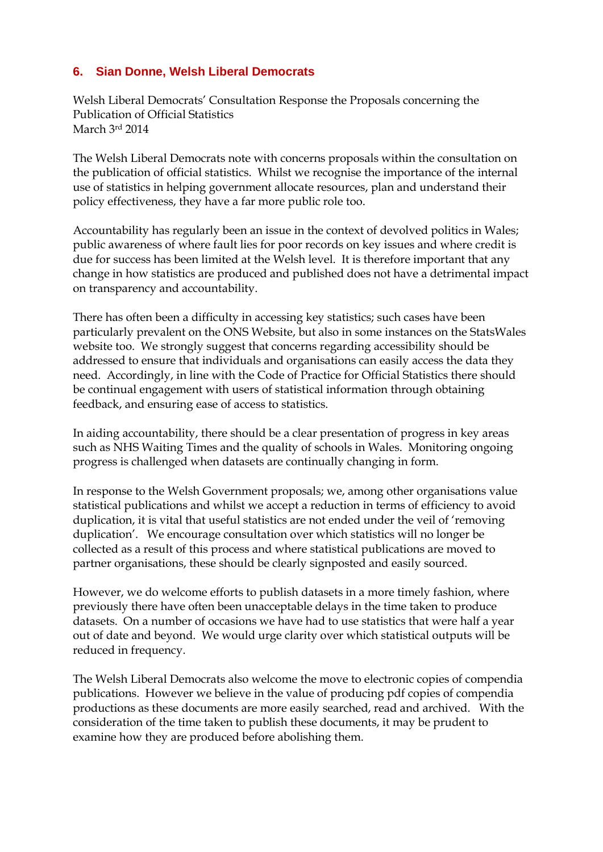# <span id="page-8-0"></span>**6. Sian Donne, Welsh Liberal Democrats**

Welsh Liberal Democrats' Consultation Response the Proposals concerning the Publication of Official Statistics March 3rd 2014

The Welsh Liberal Democrats note with concerns proposals within the consultation on the publication of official statistics. Whilst we recognise the importance of the internal use of statistics in helping government allocate resources, plan and understand their policy effectiveness, they have a far more public role too.

Accountability has regularly been an issue in the context of devolved politics in Wales; public awareness of where fault lies for poor records on key issues and where credit is due for success has been limited at the Welsh level. It is therefore important that any change in how statistics are produced and published does not have a detrimental impact on transparency and accountability.

There has often been a difficulty in accessing key statistics; such cases have been particularly prevalent on the ONS Website, but also in some instances on the StatsWales website too. We strongly suggest that concerns regarding accessibility should be addressed to ensure that individuals and organisations can easily access the data they need. Accordingly, in line with the Code of Practice for Official Statistics there should be continual engagement with users of statistical information through obtaining feedback, and ensuring ease of access to statistics.

In aiding accountability, there should be a clear presentation of progress in key areas such as NHS Waiting Times and the quality of schools in Wales. Monitoring ongoing progress is challenged when datasets are continually changing in form.

In response to the Welsh Government proposals; we, among other organisations value statistical publications and whilst we accept a reduction in terms of efficiency to avoid duplication, it is vital that useful statistics are not ended under the veil of 'removing duplication'. We encourage consultation over which statistics will no longer be collected as a result of this process and where statistical publications are moved to partner organisations, these should be clearly signposted and easily sourced.

However, we do welcome efforts to publish datasets in a more timely fashion, where previously there have often been unacceptable delays in the time taken to produce datasets. On a number of occasions we have had to use statistics that were half a year out of date and beyond. We would urge clarity over which statistical outputs will be reduced in frequency.

The Welsh Liberal Democrats also welcome the move to electronic copies of compendia publications. However we believe in the value of producing pdf copies of compendia productions as these documents are more easily searched, read and archived. With the consideration of the time taken to publish these documents, it may be prudent to examine how they are produced before abolishing them.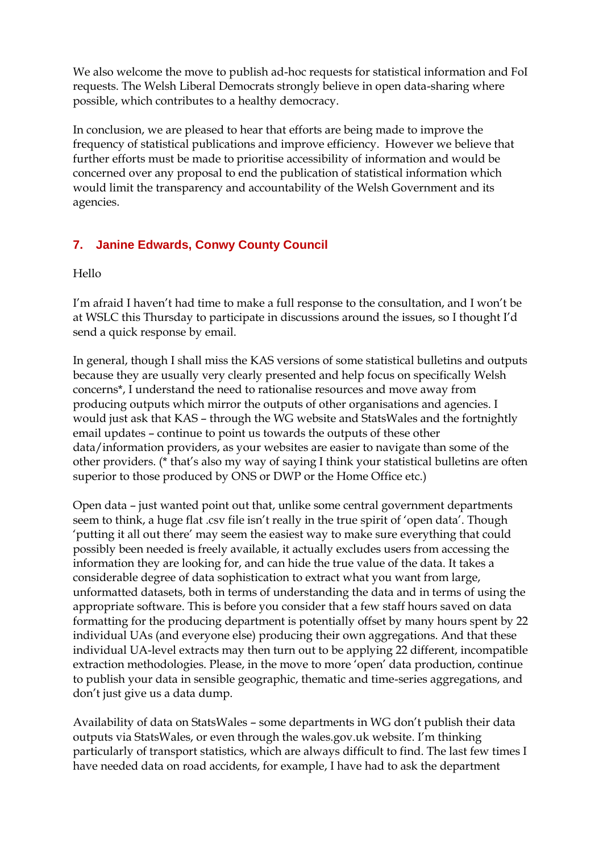We also welcome the move to publish ad-hoc requests for statistical information and FoI requests. The Welsh Liberal Democrats strongly believe in open data-sharing where possible, which contributes to a healthy democracy.

In conclusion, we are pleased to hear that efforts are being made to improve the frequency of statistical publications and improve efficiency. However we believe that further efforts must be made to prioritise accessibility of information and would be concerned over any proposal to end the publication of statistical information which would limit the transparency and accountability of the Welsh Government and its agencies.

# <span id="page-9-0"></span>**7. Janine Edwards, Conwy County Council**

Hello

I'm afraid I haven't had time to make a full response to the consultation, and I won't be at WSLC this Thursday to participate in discussions around the issues, so I thought I'd send a quick response by email.

In general, though I shall miss the KAS versions of some statistical bulletins and outputs because they are usually very clearly presented and help focus on specifically Welsh concerns\*, I understand the need to rationalise resources and move away from producing outputs which mirror the outputs of other organisations and agencies. I would just ask that KAS – through the WG website and StatsWales and the fortnightly email updates – continue to point us towards the outputs of these other data/information providers, as your websites are easier to navigate than some of the other providers. (\* that's also my way of saying I think your statistical bulletins are often superior to those produced by ONS or DWP or the Home Office etc.)

Open data – just wanted point out that, unlike some central government departments seem to think, a huge flat .csv file isn't really in the true spirit of 'open data'. Though 'putting it all out there' may seem the easiest way to make sure everything that could possibly been needed is freely available, it actually excludes users from accessing the information they are looking for, and can hide the true value of the data. It takes a considerable degree of data sophistication to extract what you want from large, unformatted datasets, both in terms of understanding the data and in terms of using the appropriate software. This is before you consider that a few staff hours saved on data formatting for the producing department is potentially offset by many hours spent by 22 individual UAs (and everyone else) producing their own aggregations. And that these individual UA-level extracts may then turn out to be applying 22 different, incompatible extraction methodologies. Please, in the move to more 'open' data production, continue to publish your data in sensible geographic, thematic and time-series aggregations, and don't just give us a data dump.

Availability of data on StatsWales – some departments in WG don't publish their data outputs via StatsWales, or even through the wales.gov.uk website. I'm thinking particularly of transport statistics, which are always difficult to find. The last few times I have needed data on road accidents, for example, I have had to ask the department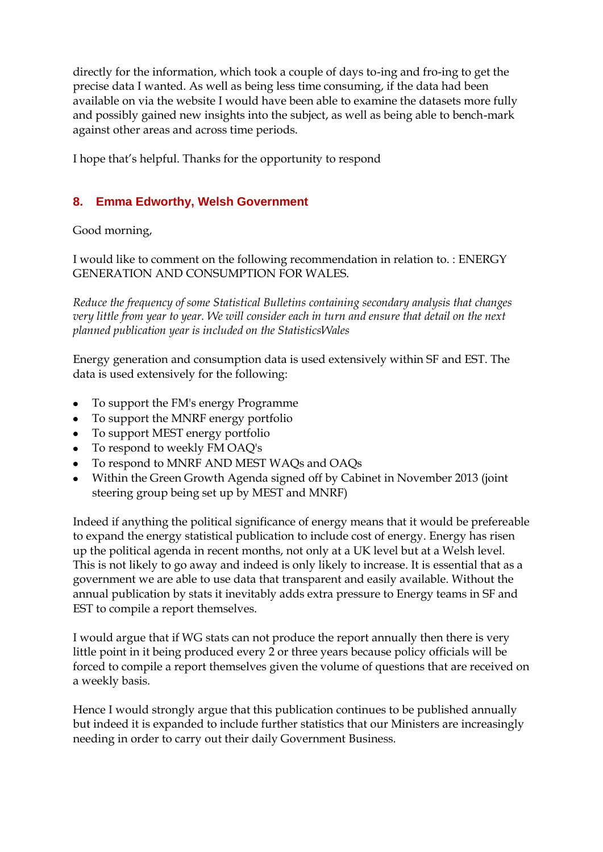directly for the information, which took a couple of days to-ing and fro-ing to get the precise data I wanted. As well as being less time consuming, if the data had been available on via the website I would have been able to examine the datasets more fully and possibly gained new insights into the subject, as well as being able to bench-mark against other areas and across time periods.

I hope that's helpful. Thanks for the opportunity to respond

# <span id="page-10-0"></span>**8. Emma Edworthy, Welsh Government**

Good morning,

I would like to comment on the following recommendation in relation to. : ENERGY GENERATION AND CONSUMPTION FOR WALES.

*Reduce the frequency of some Statistical Bulletins containing secondary analysis that changes very little from year to year. We will consider each in turn and ensure that detail on the next planned publication year is included on the StatisticsWales* 

Energy generation and consumption data is used extensively within SF and EST. The data is used extensively for the following:

- To support the FM's energy Programme
- To support the MNRF energy portfolio
- To support MEST energy portfolio
- To respond to weekly FM OAQ's
- To respond to MNRF AND MEST WAQs and OAQs
- Within the Green Growth Agenda signed off by Cabinet in November 2013 (joint steering group being set up by MEST and MNRF)

Indeed if anything the political significance of energy means that it would be prefereable to expand the energy statistical publication to include cost of energy. Energy has risen up the political agenda in recent months, not only at a UK level but at a Welsh level. This is not likely to go away and indeed is only likely to increase. It is essential that as a government we are able to use data that transparent and easily available. Without the annual publication by stats it inevitably adds extra pressure to Energy teams in SF and EST to compile a report themselves.

I would argue that if WG stats can not produce the report annually then there is very little point in it being produced every 2 or three years because policy officials will be forced to compile a report themselves given the volume of questions that are received on a weekly basis.

Hence I would strongly argue that this publication continues to be published annually but indeed it is expanded to include further statistics that our Ministers are increasingly needing in order to carry out their daily Government Business.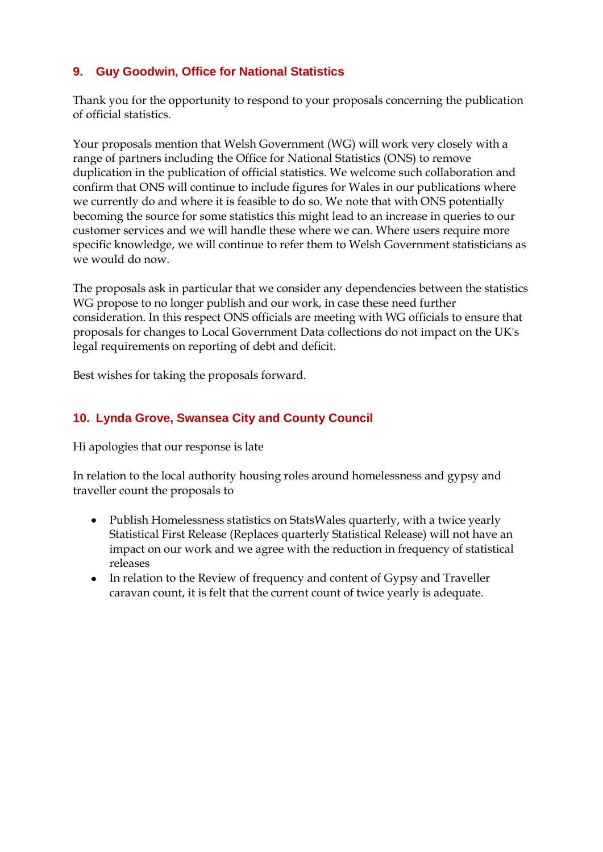# <span id="page-11-0"></span>**9. Guy Goodwin, Office for National Statistics**

Thank you for the opportunity to respond to your proposals concerning the publication of official statistics.

Your proposals mention that Welsh Government (WG) will work very closely with a range of partners including the Office for National Statistics (ONS) to remove duplication in the publication of official statistics. We welcome such collaboration and confirm that ONS will continue to include figures for Wales in our publications where we currently do and where it is feasible to do so. We note that with ONS potentially becoming the source for some statistics this might lead to an increase in queries to our customer services and we will handle these where we can. Where users require more specific knowledge, we will continue to refer them to Welsh Government statisticians as we would do now.

The proposals ask in particular that we consider any dependencies between the statistics WG propose to no longer publish and our work, in case these need further consideration. In this respect ONS officials are meeting with WG officials to ensure that proposals for changes to Local Government Data collections do not impact on the UK's legal requirements on reporting of debt and deficit.

Best wishes for taking the proposals forward.

# <span id="page-11-1"></span>**10. Lynda Grove, Swansea City and County Council**

Hi apologies that our response is late

In relation to the local authority housing roles around homelessness and gypsy and traveller count the proposals to

- Publish Homelessness statistics on StatsWales quarterly, with a twice yearly Statistical First Release (Replaces quarterly Statistical Release) will not have an impact on our work and we agree with the reduction in frequency of statistical releases
- <span id="page-11-2"></span>• In relation to the Review of frequency and content of Gypsy and Traveller caravan count, it is felt that the current count of twice yearly is adequate.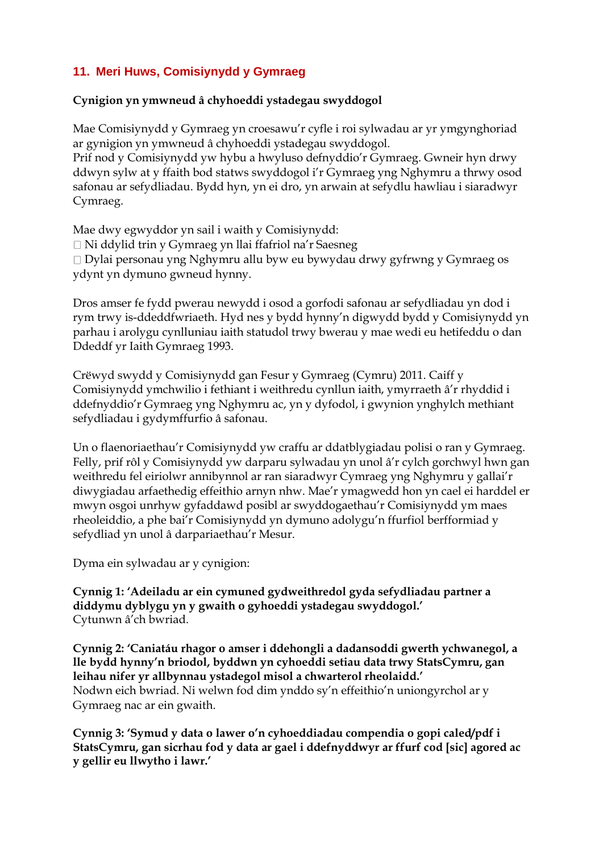# **11. Meri Huws, Comisiynydd y Gymraeg**

# **Cynigion yn ymwneud â chyhoeddi ystadegau swyddogol**

Mae Comisiynydd y Gymraeg yn croesawu'r cyfle i roi sylwadau ar yr ymgynghoriad ar gynigion yn ymwneud â chyhoeddi ystadegau swyddogol. Prif nod y Comisiynydd yw hybu a hwyluso defnyddio'r Gymraeg. Gwneir hyn drwy ddwyn sylw at y ffaith bod statws swyddogol i'r Gymraeg yng Nghymru a thrwy osod

safonau ar sefydliadau. Bydd hyn, yn ei dro, yn arwain at sefydlu hawliau i siaradwyr Cymraeg.

Mae dwy egwyddor yn sail i waith y Comisiynydd: Ni ddylid trin y Gymraeg yn llai ffafriol na'r Saesneg Dylai personau yng Nghymru allu byw eu bywydau drwy gyfrwng y Gymraeg os ydynt yn dymuno gwneud hynny.

Dros amser fe fydd pwerau newydd i osod a gorfodi safonau ar sefydliadau yn dod i rym trwy is-ddeddfwriaeth. Hyd nes y bydd hynny'n digwydd bydd y Comisiynydd yn parhau i arolygu cynlluniau iaith statudol trwy bwerau y mae wedi eu hetifeddu o dan Ddeddf yr Iaith Gymraeg 1993.

Crëwyd swydd y Comisiynydd gan Fesur y Gymraeg (Cymru) 2011. Caiff y Comisiynydd ymchwilio i fethiant i weithredu cynllun iaith, ymyrraeth â'r rhyddid i ddefnyddio'r Gymraeg yng Nghymru ac, yn y dyfodol, i gwynion ynghylch methiant sefydliadau i gydymffurfio â safonau.

Un o flaenoriaethau'r Comisiynydd yw craffu ar ddatblygiadau polisi o ran y Gymraeg. Felly, prif rôl y Comisiynydd yw darparu sylwadau yn unol â'r cylch gorchwyl hwn gan weithredu fel eiriolwr annibynnol ar ran siaradwyr Cymraeg yng Nghymru y gallai'r diwygiadau arfaethedig effeithio arnyn nhw. Mae'r ymagwedd hon yn cael ei harddel er mwyn osgoi unrhyw gyfaddawd posibl ar swyddogaethau'r Comisiynydd ym maes rheoleiddio, a phe bai'r Comisiynydd yn dymuno adolygu'n ffurfiol berfformiad y sefydliad yn unol â darpariaethau'r Mesur.

Dyma ein sylwadau ar y cynigion:

**Cynnig 1: 'Adeiladu ar ein cymuned gydweithredol gyda sefydliadau partner a diddymu dyblygu yn y gwaith o gyhoeddi ystadegau swyddogol.'**  Cytunwn â'ch bwriad.

**Cynnig 2: 'Caniatáu rhagor o amser i ddehongli a dadansoddi gwerth ychwanegol, a lle bydd hynny'n briodol, byddwn yn cyhoeddi setiau data trwy StatsCymru, gan leihau nifer yr allbynnau ystadegol misol a chwarterol rheolaidd.'**  Nodwn eich bwriad. Ni welwn fod dim ynddo sy'n effeithio'n uniongyrchol ar y Gymraeg nac ar ein gwaith.

**Cynnig 3: 'Symud y data o lawer o'n cyhoeddiadau compendia o gopi caled/pdf i StatsCymru, gan sicrhau fod y data ar gael i ddefnyddwyr ar ffurf cod [sic] agored ac y gellir eu llwytho i lawr.'**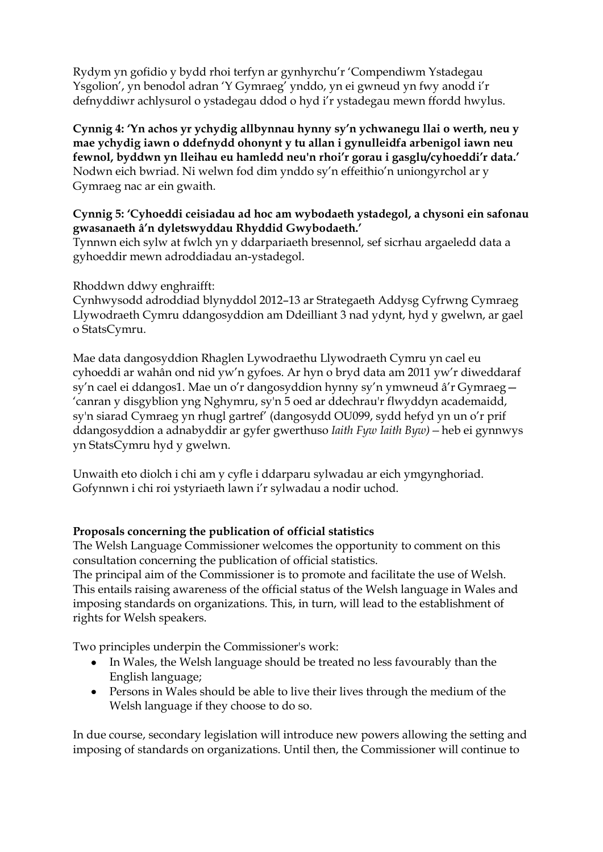Rydym yn gofidio y bydd rhoi terfyn ar gynhyrchu'r 'Compendiwm Ystadegau Ysgolion', yn benodol adran 'Y Gymraeg' ynddo, yn ei gwneud yn fwy anodd i'r defnyddiwr achlysurol o ystadegau ddod o hyd i'r ystadegau mewn ffordd hwylus.

**Cynnig 4: 'Yn achos yr ychydig allbynnau hynny sy'n ychwanegu llai o werth, neu y mae ychydig iawn o ddefnydd ohonynt y tu allan i gynulleidfa arbenigol iawn neu fewnol, byddwn yn lleihau eu hamledd neu'n rhoi'r gorau i gasglu/cyhoeddi'r data.'**  Nodwn eich bwriad. Ni welwn fod dim ynddo sy'n effeithio'n uniongyrchol ar y Gymraeg nac ar ein gwaith.

## **Cynnig 5: 'Cyhoeddi ceisiadau ad hoc am wybodaeth ystadegol, a chysoni ein safonau gwasanaeth â'n dyletswyddau Rhyddid Gwybodaeth.'**

Tynnwn eich sylw at fwlch yn y ddarpariaeth bresennol, sef sicrhau argaeledd data a gyhoeddir mewn adroddiadau an-ystadegol.

Rhoddwn ddwy enghraifft:

Cynhwysodd adroddiad blynyddol 2012–13 ar Strategaeth Addysg Cyfrwng Cymraeg Llywodraeth Cymru ddangosyddion am Ddeilliant 3 nad ydynt, hyd y gwelwn, ar gael o StatsCymru.

Mae data dangosyddion Rhaglen Lywodraethu Llywodraeth Cymru yn cael eu cyhoeddi ar wahân ond nid yw'n gyfoes. Ar hyn o bryd data am 2011 yw'r diweddaraf sy'n cael ei ddangos1. Mae un o'r dangosyddion hynny sy'n ymwneud â'r Gymraeg— 'canran y disgyblion yng Nghymru, sy'n 5 oed ar ddechrau'r flwyddyn academaidd, sy'n siarad Cymraeg yn rhugl gartref' (dangosydd OU099, sydd hefyd yn un o'r prif ddangosyddion a adnabyddir ar gyfer gwerthuso *Iaith Fyw Iaith Byw)—*heb ei gynnwys yn StatsCymru hyd y gwelwn.

Unwaith eto diolch i chi am y cyfle i ddarparu sylwadau ar eich ymgynghoriad. Gofynnwn i chi roi ystyriaeth lawn i'r sylwadau a nodir uchod.

# **Proposals concerning the publication of official statistics**

The Welsh Language Commissioner welcomes the opportunity to comment on this consultation concerning the publication of official statistics.

The principal aim of the Commissioner is to promote and facilitate the use of Welsh. This entails raising awareness of the official status of the Welsh language in Wales and imposing standards on organizations. This, in turn, will lead to the establishment of rights for Welsh speakers.

Two principles underpin the Commissioner's work:

- In Wales, the Welsh language should be treated no less favourably than the English language;
- Persons in Wales should be able to live their lives through the medium of the Welsh language if they choose to do so.

In due course, secondary legislation will introduce new powers allowing the setting and imposing of standards on organizations. Until then, the Commissioner will continue to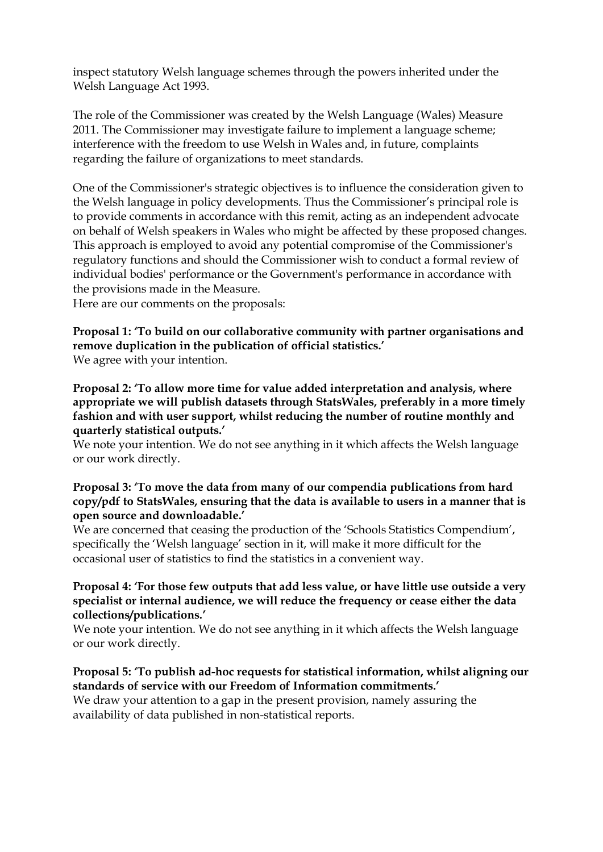inspect statutory Welsh language schemes through the powers inherited under the Welsh Language Act 1993.

The role of the Commissioner was created by the Welsh Language (Wales) Measure 2011. The Commissioner may investigate failure to implement a language scheme; interference with the freedom to use Welsh in Wales and, in future, complaints regarding the failure of organizations to meet standards.

One of the Commissioner's strategic objectives is to influence the consideration given to the Welsh language in policy developments. Thus the Commissioner's principal role is to provide comments in accordance with this remit, acting as an independent advocate on behalf of Welsh speakers in Wales who might be affected by these proposed changes. This approach is employed to avoid any potential compromise of the Commissioner's regulatory functions and should the Commissioner wish to conduct a formal review of individual bodies' performance or the Government's performance in accordance with the provisions made in the Measure.

Here are our comments on the proposals:

**Proposal 1: 'To build on our collaborative community with partner organisations and remove duplication in the publication of official statistics.'**  We agree with your intention.

**Proposal 2: 'To allow more time for value added interpretation and analysis, where appropriate we will publish datasets through StatsWales, preferably in a more timely fashion and with user support, whilst reducing the number of routine monthly and quarterly statistical outputs.'** 

We note your intention. We do not see anything in it which affects the Welsh language or our work directly.

#### **Proposal 3: 'To move the data from many of our compendia publications from hard copy/pdf to StatsWales, ensuring that the data is available to users in a manner that is open source and downloadable.'**

We are concerned that ceasing the production of the 'Schools Statistics Compendium', specifically the 'Welsh language' section in it, will make it more difficult for the occasional user of statistics to find the statistics in a convenient way.

# **Proposal 4: 'For those few outputs that add less value, or have little use outside a very specialist or internal audience, we will reduce the frequency or cease either the data collections/publications.'**

We note your intention. We do not see anything in it which affects the Welsh language or our work directly.

# **Proposal 5: 'To publish ad-hoc requests for statistical information, whilst aligning our standards of service with our Freedom of Information commitments.'**

We draw your attention to a gap in the present provision, namely assuring the availability of data published in non-statistical reports.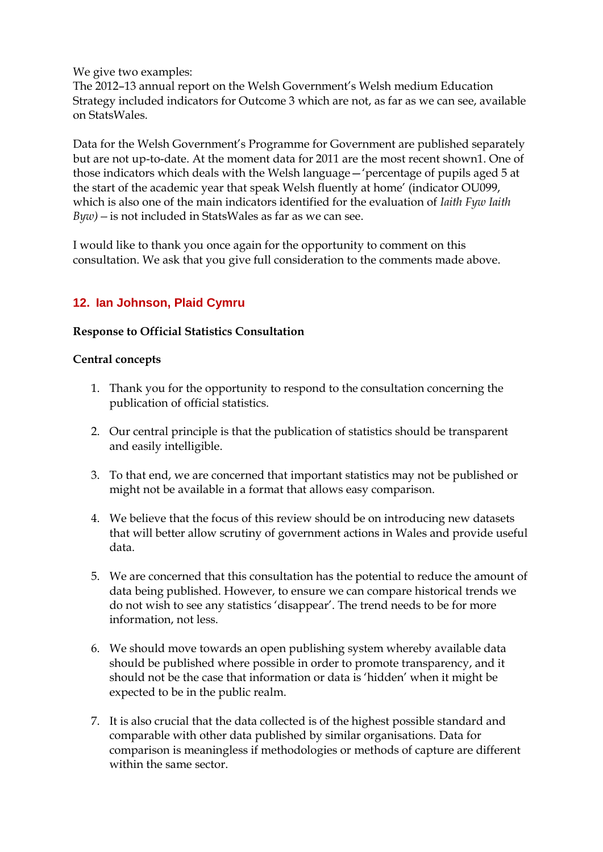We give two examples:

The 2012–13 annual report on the Welsh Government's Welsh medium Education Strategy included indicators for Outcome 3 which are not, as far as we can see, available on StatsWales.

Data for the Welsh Government's Programme for Government are published separately but are not up-to-date. At the moment data for 2011 are the most recent shown1. One of those indicators which deals with the Welsh language—'percentage of pupils aged 5 at the start of the academic year that speak Welsh fluently at home' (indicator OU099, which is also one of the main indicators identified for the evaluation of *Iaith Fyw Iaith Byw)—*is not included in StatsWales as far as we can see.

I would like to thank you once again for the opportunity to comment on this consultation. We ask that you give full consideration to the comments made above.

# <span id="page-15-0"></span>**12. Ian Johnson, Plaid Cymru**

# **Response to Official Statistics Consultation**

#### **Central concepts**

- 1. Thank you for the opportunity to respond to the consultation concerning the publication of official statistics.
- 2. Our central principle is that the publication of statistics should be transparent and easily intelligible.
- 3. To that end, we are concerned that important statistics may not be published or might not be available in a format that allows easy comparison.
- 4. We believe that the focus of this review should be on introducing new datasets that will better allow scrutiny of government actions in Wales and provide useful data.
- 5. We are concerned that this consultation has the potential to reduce the amount of data being published. However, to ensure we can compare historical trends we do not wish to see any statistics 'disappear'. The trend needs to be for more information, not less.
- 6. We should move towards an open publishing system whereby available data should be published where possible in order to promote transparency, and it should not be the case that information or data is 'hidden' when it might be expected to be in the public realm.
- 7. It is also crucial that the data collected is of the highest possible standard and comparable with other data published by similar organisations. Data for comparison is meaningless if methodologies or methods of capture are different within the same sector.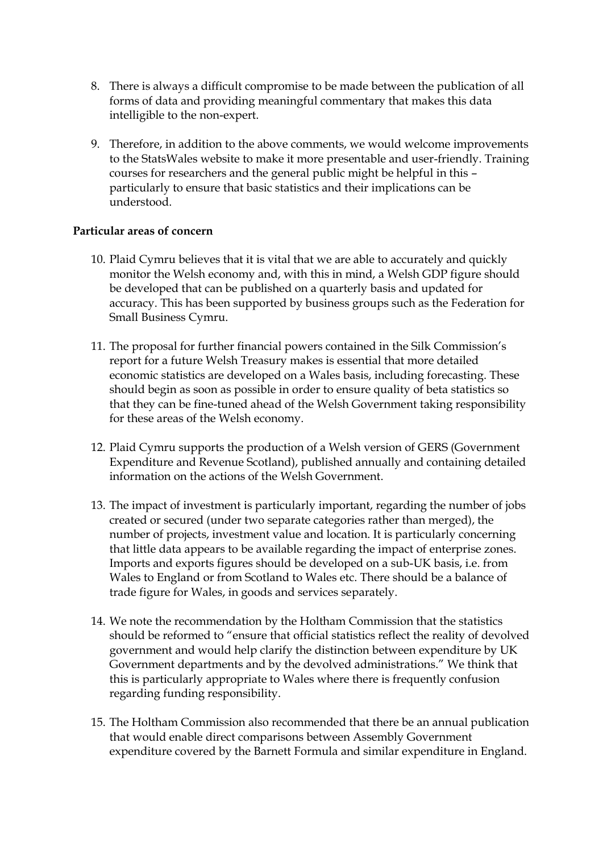- 8. There is always a difficult compromise to be made between the publication of all forms of data and providing meaningful commentary that makes this data intelligible to the non-expert.
- 9. Therefore, in addition to the above comments, we would welcome improvements to the StatsWales website to make it more presentable and user-friendly. Training courses for researchers and the general public might be helpful in this – particularly to ensure that basic statistics and their implications can be understood.

#### **Particular areas of concern**

- 10. Plaid Cymru believes that it is vital that we are able to accurately and quickly monitor the Welsh economy and, with this in mind, a Welsh GDP figure should be developed that can be published on a quarterly basis and updated for accuracy. This has been supported by business groups such as the Federation for Small Business Cymru.
- 11. The proposal for further financial powers contained in the Silk Commission's report for a future Welsh Treasury makes is essential that more detailed economic statistics are developed on a Wales basis, including forecasting. These should begin as soon as possible in order to ensure quality of beta statistics so that they can be fine-tuned ahead of the Welsh Government taking responsibility for these areas of the Welsh economy.
- 12. Plaid Cymru supports the production of a Welsh version of GERS (Government Expenditure and Revenue Scotland), published annually and containing detailed information on the actions of the Welsh Government.
- 13. The impact of investment is particularly important, regarding the number of jobs created or secured (under two separate categories rather than merged), the number of projects, investment value and location. It is particularly concerning that little data appears to be available regarding the impact of enterprise zones. Imports and exports figures should be developed on a sub-UK basis, i.e. from Wales to England or from Scotland to Wales etc. There should be a balance of trade figure for Wales, in goods and services separately.
- 14. We note the recommendation by the Holtham Commission that the statistics should be reformed to "ensure that official statistics reflect the reality of devolved government and would help clarify the distinction between expenditure by UK Government departments and by the devolved administrations." We think that this is particularly appropriate to Wales where there is frequently confusion regarding funding responsibility.
- 15. The Holtham Commission also recommended that there be an annual publication that would enable direct comparisons between Assembly Government expenditure covered by the Barnett Formula and similar expenditure in England.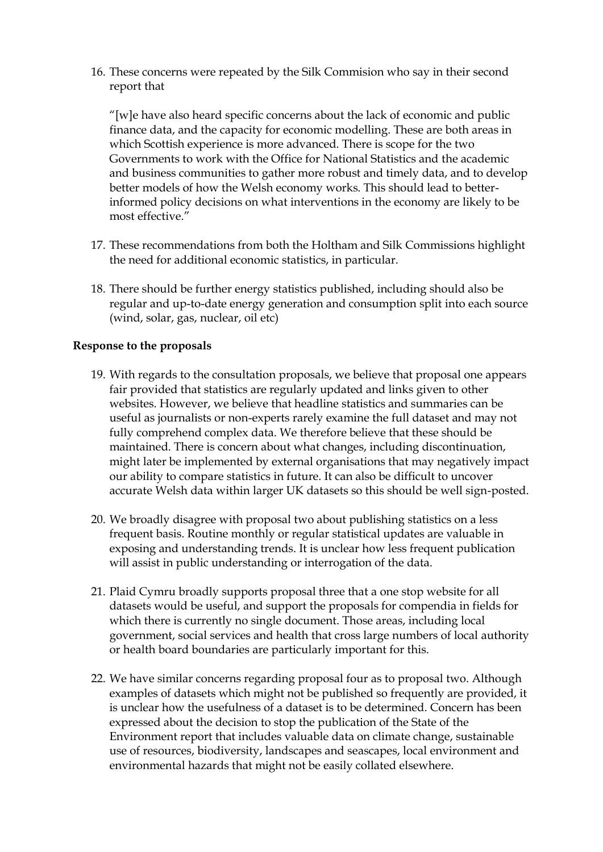16. These concerns were repeated by the Silk Commision who say in their second report that

"[w]e have also heard specific concerns about the lack of economic and public finance data, and the capacity for economic modelling. These are both areas in which Scottish experience is more advanced. There is scope for the two Governments to work with the Office for National Statistics and the academic and business communities to gather more robust and timely data, and to develop better models of how the Welsh economy works. This should lead to betterinformed policy decisions on what interventions in the economy are likely to be most effective."

- 17. These recommendations from both the Holtham and Silk Commissions highlight the need for additional economic statistics, in particular.
- 18. There should be further energy statistics published, including should also be regular and up-to-date energy generation and consumption split into each source (wind, solar, gas, nuclear, oil etc)

#### **Response to the proposals**

- 19. With regards to the consultation proposals, we believe that proposal one appears fair provided that statistics are regularly updated and links given to other websites. However, we believe that headline statistics and summaries can be useful as journalists or non-experts rarely examine the full dataset and may not fully comprehend complex data. We therefore believe that these should be maintained. There is concern about what changes, including discontinuation, might later be implemented by external organisations that may negatively impact our ability to compare statistics in future. It can also be difficult to uncover accurate Welsh data within larger UK datasets so this should be well sign-posted.
- 20. We broadly disagree with proposal two about publishing statistics on a less frequent basis. Routine monthly or regular statistical updates are valuable in exposing and understanding trends. It is unclear how less frequent publication will assist in public understanding or interrogation of the data.
- 21. Plaid Cymru broadly supports proposal three that a one stop website for all datasets would be useful, and support the proposals for compendia in fields for which there is currently no single document. Those areas, including local government, social services and health that cross large numbers of local authority or health board boundaries are particularly important for this.
- 22. We have similar concerns regarding proposal four as to proposal two. Although examples of datasets which might not be published so frequently are provided, it is unclear how the usefulness of a dataset is to be determined. Concern has been expressed about the decision to stop the publication of the State of the Environment report that includes valuable data on climate change, sustainable use of resources, biodiversity, landscapes and seascapes, local environment and environmental hazards that might not be easily collated elsewhere.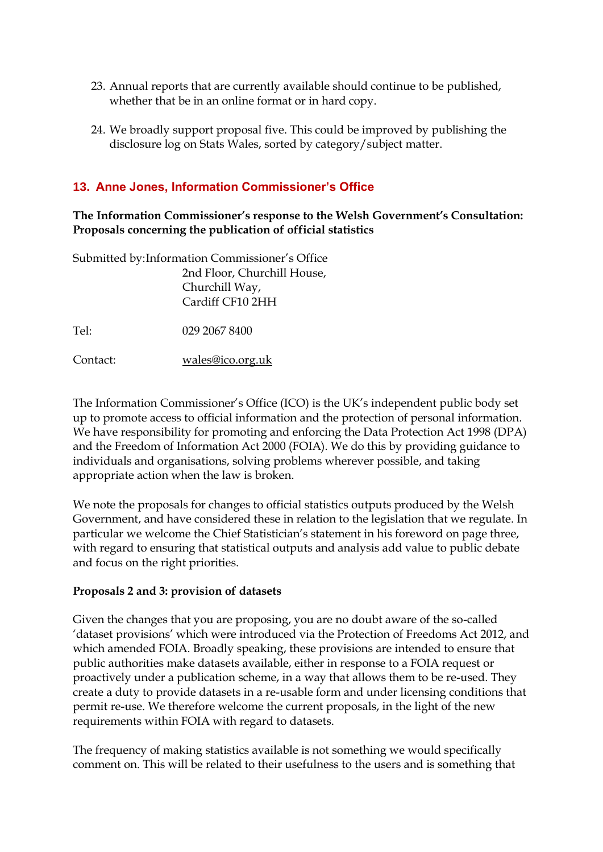- 23. Annual reports that are currently available should continue to be published, whether that be in an online format or in hard copy.
- 24. We broadly support proposal five. This could be improved by publishing the disclosure log on Stats Wales, sorted by category/subject matter.

# <span id="page-18-0"></span>**13. Anne Jones, Information Commissioner's Office**

# **The Information Commissioner's response to the Welsh Government's Consultation: Proposals concerning the publication of official statistics**

| Submitted by: Information Commissioner's Office |                             |  |  |
|-------------------------------------------------|-----------------------------|--|--|
|                                                 | 2nd Floor, Churchill House, |  |  |
|                                                 | Churchill Way,              |  |  |
|                                                 | Cardiff CF10 2HH            |  |  |
|                                                 |                             |  |  |
| Tel:                                            | 029 2067 8400               |  |  |
|                                                 |                             |  |  |
| Contact:                                        | wales@ico.org.uk            |  |  |

The Information Commissioner's Office (ICO) is the UK's independent public body set up to promote access to official information and the protection of personal information. We have responsibility for promoting and enforcing the Data Protection Act 1998 (DPA) and the Freedom of Information Act 2000 (FOIA). We do this by providing guidance to individuals and organisations, solving problems wherever possible, and taking appropriate action when the law is broken.

We note the proposals for changes to official statistics outputs produced by the Welsh Government, and have considered these in relation to the legislation that we regulate. In particular we welcome the Chief Statistician's statement in his foreword on page three, with regard to ensuring that statistical outputs and analysis add value to public debate and focus on the right priorities.

# **Proposals 2 and 3: provision of datasets**

Given the changes that you are proposing, you are no doubt aware of the so-called 'dataset provisions' which were introduced via the Protection of Freedoms Act 2012, and which amended FOIA. Broadly speaking, these provisions are intended to ensure that public authorities make datasets available, either in response to a FOIA request or proactively under a publication scheme, in a way that allows them to be re-used. They create a duty to provide datasets in a re-usable form and under licensing conditions that permit re-use. We therefore welcome the current proposals, in the light of the new requirements within FOIA with regard to datasets.

The frequency of making statistics available is not something we would specifically comment on. This will be related to their usefulness to the users and is something that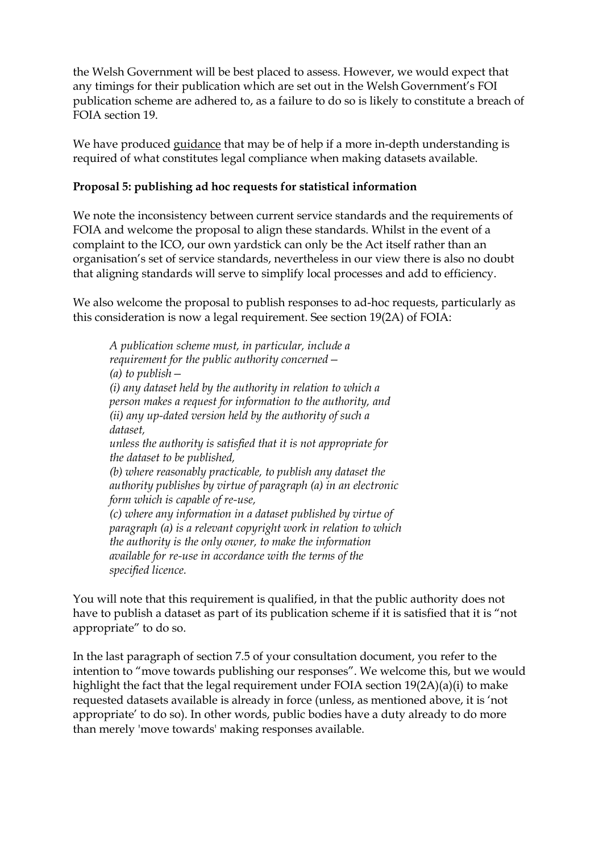the Welsh Government will be best placed to assess. However, we would expect that any timings for their publication which are set out in the Welsh Government's FOI publication scheme are adhered to, as a failure to do so is likely to constitute a breach of FOIA section 19.

We have produced [guidance](http://ico.org.uk/for_organisations/guidance_index/~/media/documents/library/Freedom_of_Information/Detailed_specialist_guides/datasets-foi-guidance.pdf) that may be of help if a more in-depth understanding is required of what constitutes legal compliance when making datasets available.

# **Proposal 5: publishing ad hoc requests for statistical information**

We note the inconsistency between current service standards and the requirements of FOIA and welcome the proposal to align these standards. Whilst in the event of a complaint to the ICO, our own yardstick can only be the Act itself rather than an organisation's set of service standards, nevertheless in our view there is also no doubt that aligning standards will serve to simplify local processes and add to efficiency.

We also welcome the proposal to publish responses to ad-hoc requests, particularly as this consideration is now a legal requirement. See section 19(2A) of FOIA:

*A publication scheme must, in particular, include a requirement for the public authority concerned— (a) to publish— (i) any dataset held by the authority in relation to which a person makes a request for information to the authority, and (ii) any up-dated version held by the authority of such a dataset, unless the authority is satisfied that it is not appropriate for the dataset to be published, (b) where reasonably practicable, to publish any dataset the authority publishes by virtue of paragraph (a) in an electronic form which is capable of re-use, (c) where any information in a dataset published by virtue of paragraph (a) is a relevant copyright work in relation to which the authority is the only owner, to make the information available for re-use in accordance with the terms of the specified licence.*

You will note that this requirement is qualified, in that the public authority does not have to publish a dataset as part of its publication scheme if it is satisfied that it is "not appropriate" to do so.

In the last paragraph of section 7.5 of your consultation document, you refer to the intention to "move towards publishing our responses". We welcome this, but we would highlight the fact that the legal requirement under FOIA section 19(2A)(a)(i) to make requested datasets available is already in force (unless, as mentioned above, it is 'not appropriate' to do so). In other words, public bodies have a duty already to do more than merely 'move towards' making responses available.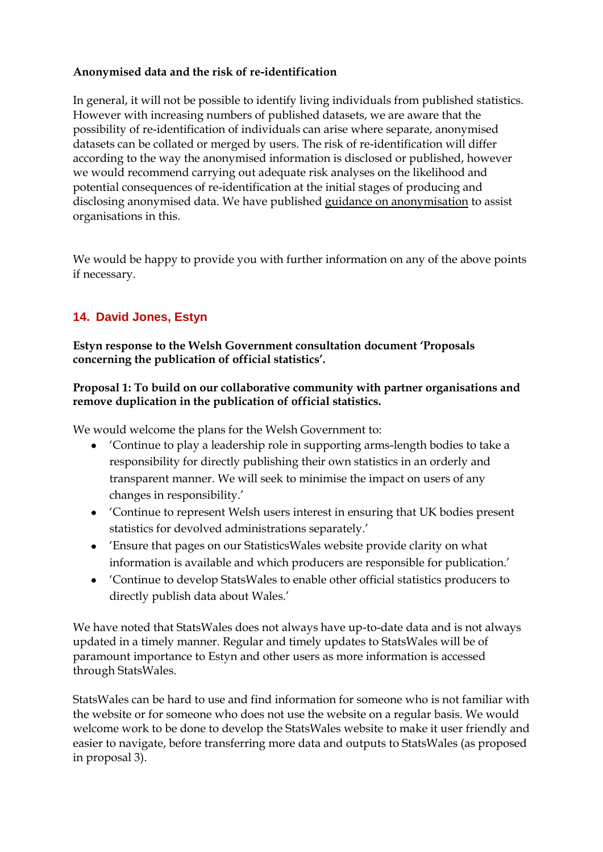# **Anonymised data and the risk of re-identification**

In general, it will not be possible to identify living individuals from published statistics. However with increasing numbers of published datasets, we are aware that the possibility of re-identification of individuals can arise where separate, anonymised datasets can be collated or merged by users. The risk of re-identification will differ according to the way the anonymised information is disclosed or published, however we would recommend carrying out adequate risk analyses on the likelihood and potential consequences of re-identification at the initial stages of producing and disclosing anonymised data. We have published [guidance on anonymisation](http://ico.org.uk/for_organisations/data_protection/topic_guides/anonymisation) to assist organisations in this.

We would be happy to provide you with further information on any of the above points if necessary.

# <span id="page-20-0"></span>**14. David Jones, Estyn**

**Estyn response to the Welsh Government consultation document 'Proposals concerning the publication of official statistics'.**

# **Proposal 1: To build on our collaborative community with partner organisations and remove duplication in the publication of official statistics.**

We would welcome the plans for the Welsh Government to:

- 'Continue to play a leadership role in supporting arms-length bodies to take a responsibility for directly publishing their own statistics in an orderly and transparent manner. We will seek to minimise the impact on users of any changes in responsibility.'
- 'Continue to represent Welsh users interest in ensuring that UK bodies present statistics for devolved administrations separately.'
- 'Ensure that pages on our StatisticsWales website provide clarity on what information is available and which producers are responsible for publication.'
- 'Continue to develop StatsWales to enable other official statistics producers to directly publish data about Wales.'

We have noted that StatsWales does not always have up-to-date data and is not always updated in a timely manner. Regular and timely updates to StatsWales will be of paramount importance to Estyn and other users as more information is accessed through StatsWales.

StatsWales can be hard to use and find information for someone who is not familiar with the website or for someone who does not use the website on a regular basis. We would welcome work to be done to develop the StatsWales website to make it user friendly and easier to navigate, before transferring more data and outputs to StatsWales (as proposed in proposal 3).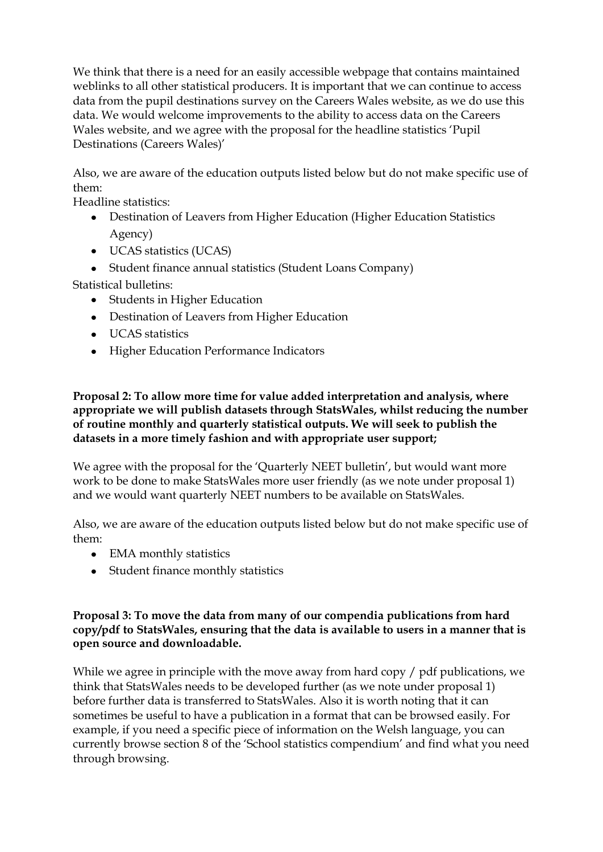We think that there is a need for an easily accessible webpage that contains maintained weblinks to all other statistical producers. It is important that we can continue to access data from the pupil destinations survey on the Careers Wales website, as we do use this data. We would welcome improvements to the ability to access data on the Careers Wales website, and we agree with the proposal for the headline statistics 'Pupil Destinations (Careers Wales)'

Also, we are aware of the education outputs listed below but do not make specific use of them:

Headline statistics:

- Destination of Leavers from Higher Education (Higher Education Statistics Agency)
- UCAS statistics (UCAS)
- Student finance annual statistics (Student Loans Company)

Statistical bulletins:

- Students in Higher Education
- Destination of Leavers from Higher Education
- UCAS statistics
- Higher Education Performance Indicators

## **Proposal 2: To allow more time for value added interpretation and analysis, where appropriate we will publish datasets through StatsWales, whilst reducing the number of routine monthly and quarterly statistical outputs. We will seek to publish the datasets in a more timely fashion and with appropriate user support;**

We agree with the proposal for the 'Quarterly NEET bulletin', but would want more work to be done to make StatsWales more user friendly (as we note under proposal 1) and we would want quarterly NEET numbers to be available on StatsWales.

Also, we are aware of the education outputs listed below but do not make specific use of them:

- EMA monthly statistics
- Student finance monthly statistics

# **Proposal 3: To move the data from many of our compendia publications from hard copy/pdf to StatsWales, ensuring that the data is available to users in a manner that is open source and downloadable.**

While we agree in principle with the move away from hard copy / pdf publications, we think that StatsWales needs to be developed further (as we note under proposal 1) before further data is transferred to StatsWales. Also it is worth noting that it can sometimes be useful to have a publication in a format that can be browsed easily. For example, if you need a specific piece of information on the Welsh language, you can currently browse section 8 of the 'School statistics compendium' and find what you need through browsing.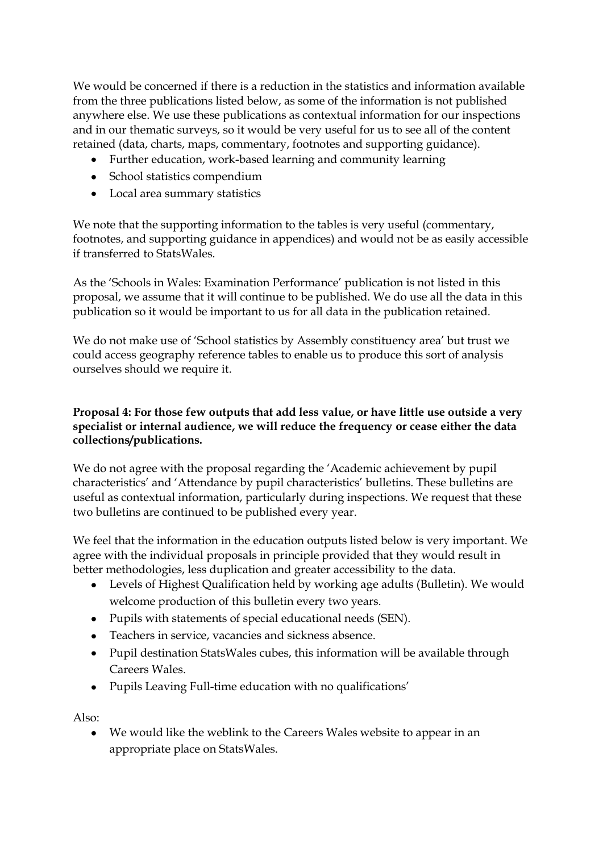We would be concerned if there is a reduction in the statistics and information available from the three publications listed below, as some of the information is not published anywhere else. We use these publications as contextual information for our inspections and in our thematic surveys, so it would be very useful for us to see all of the content retained (data, charts, maps, commentary, footnotes and supporting guidance).

- Further education, work-based learning and community learning
- School statistics compendium
- Local area summary statistics

We note that the supporting information to the tables is very useful (commentary, footnotes, and supporting guidance in appendices) and would not be as easily accessible if transferred to StatsWales.

As the 'Schools in Wales: Examination Performance' publication is not listed in this proposal, we assume that it will continue to be published. We do use all the data in this publication so it would be important to us for all data in the publication retained.

We do not make use of 'School statistics by Assembly constituency area' but trust we could access geography reference tables to enable us to produce this sort of analysis ourselves should we require it.

# **Proposal 4: For those few outputs that add less value, or have little use outside a very specialist or internal audience, we will reduce the frequency or cease either the data collections/publications.**

We do not agree with the proposal regarding the 'Academic achievement by pupil characteristics' and 'Attendance by pupil characteristics' bulletins. These bulletins are useful as contextual information, particularly during inspections. We request that these two bulletins are continued to be published every year.

We feel that the information in the education outputs listed below is very important. We agree with the individual proposals in principle provided that they would result in better methodologies, less duplication and greater accessibility to the data.

- Levels of Highest Qualification held by working age adults (Bulletin). We would welcome production of this bulletin every two years.
- Pupils with statements of special educational needs (SEN).
- Teachers in service, vacancies and sickness absence.
- Pupil destination StatsWales cubes, this information will be available through Careers Wales.
- Pupils Leaving Full-time education with no qualifications'

Also:

We would like the weblink to the Careers Wales website to appear in an appropriate place on StatsWales.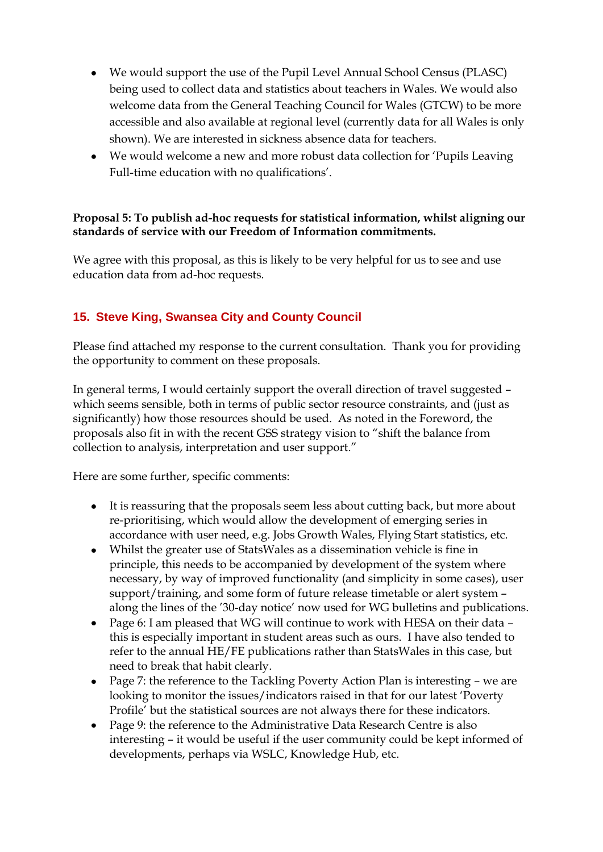- We would support the use of the Pupil Level Annual School Census (PLASC) being used to collect data and statistics about teachers in Wales. We would also welcome data from the General Teaching Council for Wales (GTCW) to be more accessible and also available at regional level (currently data for all Wales is only shown). We are interested in sickness absence data for teachers.
- We would welcome a new and more robust data collection for 'Pupils Leaving Full-time education with no qualifications'.

# **Proposal 5: To publish ad-hoc requests for statistical information, whilst aligning our standards of service with our Freedom of Information commitments.**

We agree with this proposal, as this is likely to be very helpful for us to see and use education data from ad-hoc requests.

# <span id="page-23-0"></span>**15. Steve King, Swansea City and County Council**

Please find attached my response to the current consultation. Thank you for providing the opportunity to comment on these proposals.

In general terms, I would certainly support the overall direction of travel suggested – which seems sensible, both in terms of public sector resource constraints, and (just as significantly) how those resources should be used. As noted in the Foreword, the proposals also fit in with the recent GSS strategy vision to "shift the balance from collection to analysis, interpretation and user support."

Here are some further, specific comments:

- It is reassuring that the proposals seem less about cutting back, but more about re-prioritising, which would allow the development of emerging series in accordance with user need, e.g. Jobs Growth Wales, Flying Start statistics, etc.
- Whilst the greater use of StatsWales as a dissemination vehicle is fine in principle, this needs to be accompanied by development of the system where necessary, by way of improved functionality (and simplicity in some cases), user support/training, and some form of future release timetable or alert system along the lines of the '30-day notice' now used for WG bulletins and publications.
- Page 6: I am pleased that WG will continue to work with HESA on their data this is especially important in student areas such as ours. I have also tended to refer to the annual HE/FE publications rather than StatsWales in this case, but need to break that habit clearly.
- Page 7: the reference to the Tackling Poverty Action Plan is interesting we are looking to monitor the issues/indicators raised in that for our latest 'Poverty Profile' but the statistical sources are not always there for these indicators.
- Page 9: the reference to the Administrative Data Research Centre is also interesting – it would be useful if the user community could be kept informed of developments, perhaps via WSLC, Knowledge Hub, etc.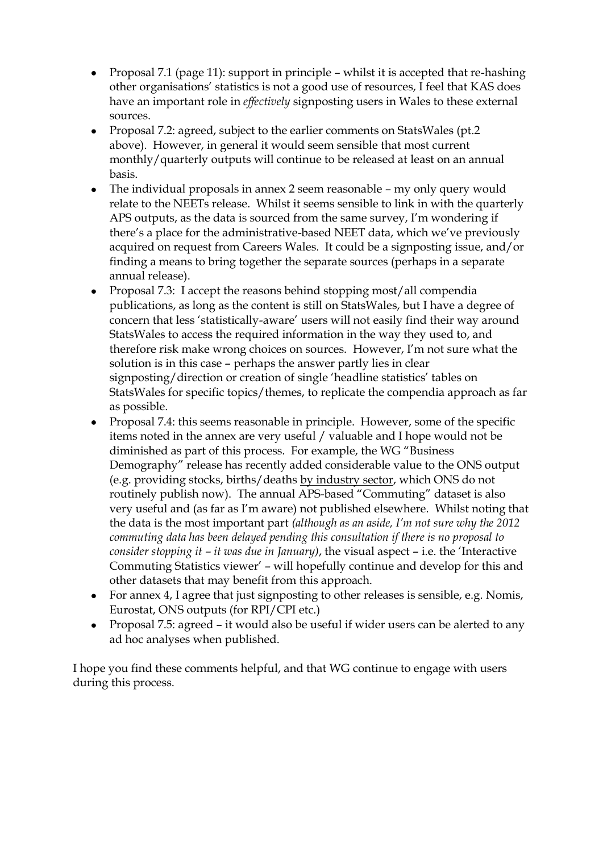- Proposal 7.1 (page 11): support in principle whilst it is accepted that re-hashing other organisations' statistics is not a good use of resources, I feel that KAS does have an important role in *effectively* signposting users in Wales to these external sources.
- Proposal 7.2: agreed, subject to the earlier comments on StatsWales (pt.2) above). However, in general it would seem sensible that most current monthly/quarterly outputs will continue to be released at least on an annual basis.
- The individual proposals in annex 2 seem reasonable my only query would relate to the NEETs release. Whilst it seems sensible to link in with the quarterly APS outputs, as the data is sourced from the same survey, I'm wondering if there's a place for the administrative-based NEET data, which we've previously acquired on request from Careers Wales. It could be a signposting issue, and/or finding a means to bring together the separate sources (perhaps in a separate annual release).
- $\bullet$ Proposal 7.3: I accept the reasons behind stopping most/all compendia publications, as long as the content is still on StatsWales, but I have a degree of concern that less 'statistically-aware' users will not easily find their way around StatsWales to access the required information in the way they used to, and therefore risk make wrong choices on sources. However, I'm not sure what the solution is in this case – perhaps the answer partly lies in clear signposting/direction or creation of single 'headline statistics' tables on StatsWales for specific topics/themes, to replicate the compendia approach as far as possible.
- Proposal 7.4: this seems reasonable in principle. However, some of the specific items noted in the annex are very useful / valuable and I hope would not be diminished as part of this process. For example, the WG "Business Demography" release has recently added considerable value to the ONS output (e.g. providing stocks, births/deaths by industry sector, which ONS do not routinely publish now). The annual APS-based "Commuting" dataset is also very useful and (as far as I'm aware) not published elsewhere. Whilst noting that the data is the most important part *(although as an aside, I'm not sure why the 2012 commuting data has been delayed pending this consultation if there is no proposal to consider stopping it – it was due in January)*, the visual aspect – i.e. the 'Interactive Commuting Statistics viewer' – will hopefully continue and develop for this and other datasets that may benefit from this approach.
- For annex 4, I agree that just signposting to other releases is sensible, e.g. Nomis, Eurostat, ONS outputs (for RPI/CPI etc.)
- Proposal 7.5: agreed it would also be useful if wider users can be alerted to any ad hoc analyses when published.

I hope you find these comments helpful, and that WG continue to engage with users during this process.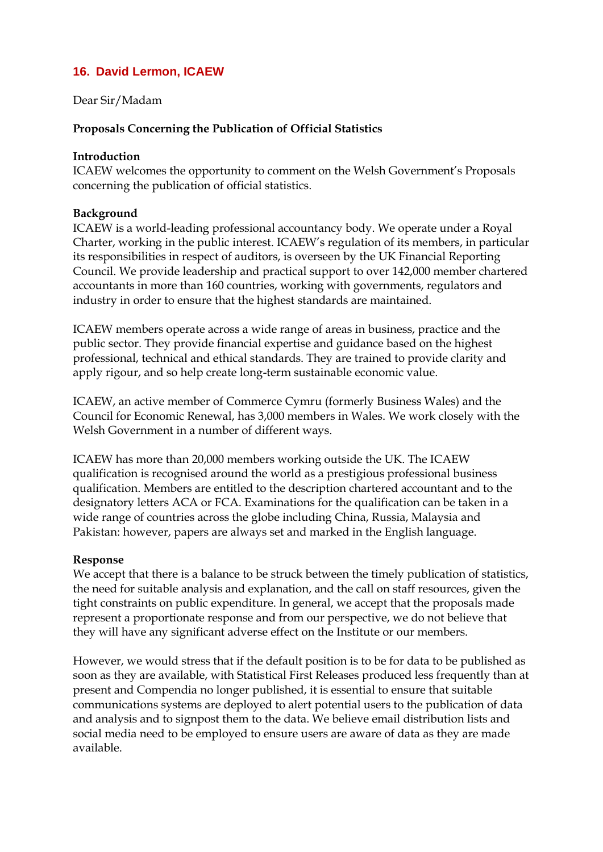# <span id="page-25-0"></span>**16. David Lermon, ICAEW**

## Dear Sir/Madam

### **Proposals Concerning the Publication of Official Statistics**

#### **Introduction**

ICAEW welcomes the opportunity to comment on the Welsh Government's Proposals concerning the publication of official statistics.

#### **Background**

ICAEW is a world-leading professional accountancy body. We operate under a Royal Charter, working in the public interest. ICAEW's regulation of its members, in particular its responsibilities in respect of auditors, is overseen by the UK Financial Reporting Council. We provide leadership and practical support to over 142,000 member chartered accountants in more than 160 countries, working with governments, regulators and industry in order to ensure that the highest standards are maintained.

ICAEW members operate across a wide range of areas in business, practice and the public sector. They provide financial expertise and guidance based on the highest professional, technical and ethical standards. They are trained to provide clarity and apply rigour, and so help create long-term sustainable economic value.

ICAEW, an active member of Commerce Cymru (formerly Business Wales) and the Council for Economic Renewal, has 3,000 members in Wales. We work closely with the Welsh Government in a number of different ways.

ICAEW has more than 20,000 members working outside the UK. The ICAEW qualification is recognised around the world as a prestigious professional business qualification. Members are entitled to the description chartered accountant and to the designatory letters ACA or FCA. Examinations for the qualification can be taken in a wide range of countries across the globe including China, Russia, Malaysia and Pakistan: however, papers are always set and marked in the English language.

#### **Response**

We accept that there is a balance to be struck between the timely publication of statistics, the need for suitable analysis and explanation, and the call on staff resources, given the tight constraints on public expenditure. In general, we accept that the proposals made represent a proportionate response and from our perspective, we do not believe that they will have any significant adverse effect on the Institute or our members.

However, we would stress that if the default position is to be for data to be published as soon as they are available, with Statistical First Releases produced less frequently than at present and Compendia no longer published, it is essential to ensure that suitable communications systems are deployed to alert potential users to the publication of data and analysis and to signpost them to the data. We believe email distribution lists and social media need to be employed to ensure users are aware of data as they are made available.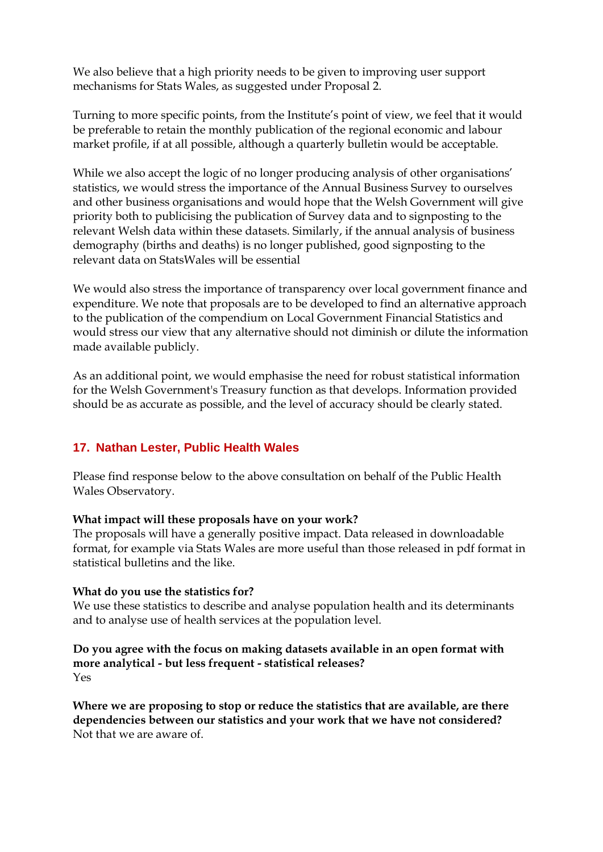We also believe that a high priority needs to be given to improving user support mechanisms for Stats Wales, as suggested under Proposal 2.

Turning to more specific points, from the Institute's point of view, we feel that it would be preferable to retain the monthly publication of the regional economic and labour market profile, if at all possible, although a quarterly bulletin would be acceptable.

While we also accept the logic of no longer producing analysis of other organisations' statistics, we would stress the importance of the Annual Business Survey to ourselves and other business organisations and would hope that the Welsh Government will give priority both to publicising the publication of Survey data and to signposting to the relevant Welsh data within these datasets. Similarly, if the annual analysis of business demography (births and deaths) is no longer published, good signposting to the relevant data on StatsWales will be essential

We would also stress the importance of transparency over local government finance and expenditure. We note that proposals are to be developed to find an alternative approach to the publication of the compendium on Local Government Financial Statistics and would stress our view that any alternative should not diminish or dilute the information made available publicly.

As an additional point, we would emphasise the need for robust statistical information for the Welsh Government's Treasury function as that develops. Information provided should be as accurate as possible, and the level of accuracy should be clearly stated.

# <span id="page-26-0"></span>**17. Nathan Lester, Public Health Wales**

Please find response below to the above consultation on behalf of the Public Health Wales Observatory.

#### **What impact will these proposals have on your work?**

The proposals will have a generally positive impact. Data released in downloadable format, for example via Stats Wales are more useful than those released in pdf format in statistical bulletins and the like.

#### **What do you use the statistics for?**

We use these statistics to describe and analyse population health and its determinants and to analyse use of health services at the population level.

### **Do you agree with the focus on making datasets available in an open format with more analytical - but less frequent - statistical releases?** Yes

**Where we are proposing to stop or reduce the statistics that are available, are there dependencies between our statistics and your work that we have not considered?** Not that we are aware of.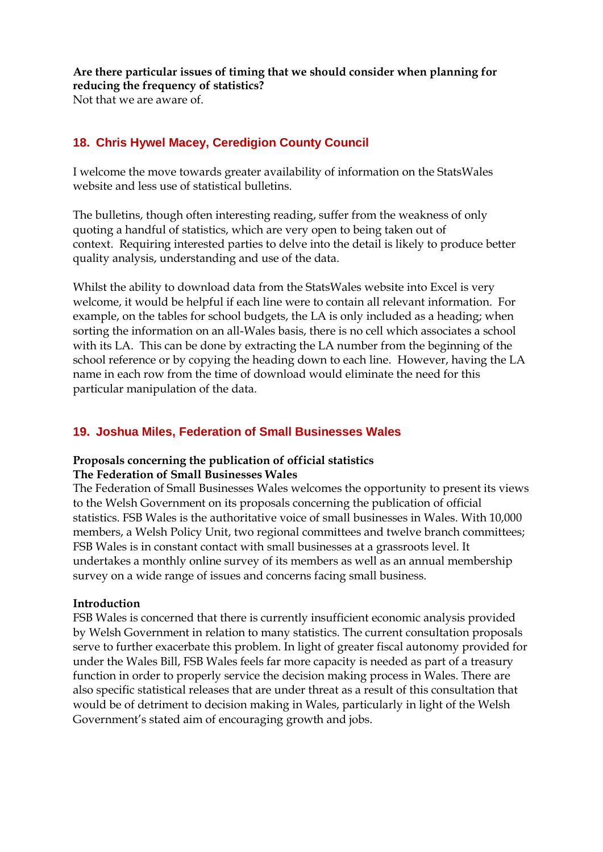**Are there particular issues of timing that we should consider when planning for reducing the frequency of statistics?** Not that we are aware of.

# <span id="page-27-0"></span>**18. Chris Hywel Macey, Ceredigion County Council**

I welcome the move towards greater availability of information on the StatsWales website and less use of statistical bulletins.

The bulletins, though often interesting reading, suffer from the weakness of only quoting a handful of statistics, which are very open to being taken out of context. Requiring interested parties to delve into the detail is likely to produce better quality analysis, understanding and use of the data.

Whilst the ability to download data from the StatsWales website into Excel is very welcome, it would be helpful if each line were to contain all relevant information. For example, on the tables for school budgets, the LA is only included as a heading; when sorting the information on an all-Wales basis, there is no cell which associates a school with its LA. This can be done by extracting the LA number from the beginning of the school reference or by copying the heading down to each line. However, having the LA name in each row from the time of download would eliminate the need for this particular manipulation of the data.

# <span id="page-27-1"></span>**19. Joshua Miles, Federation of Small Businesses Wales**

#### **Proposals concerning the publication of official statistics The Federation of Small Businesses Wales**

The Federation of Small Businesses Wales welcomes the opportunity to present its views to the Welsh Government on its proposals concerning the publication of official statistics. FSB Wales is the authoritative voice of small businesses in Wales. With 10,000 members, a Welsh Policy Unit, two regional committees and twelve branch committees; FSB Wales is in constant contact with small businesses at a grassroots level. It undertakes a monthly online survey of its members as well as an annual membership survey on a wide range of issues and concerns facing small business.

#### **Introduction**

FSB Wales is concerned that there is currently insufficient economic analysis provided by Welsh Government in relation to many statistics. The current consultation proposals serve to further exacerbate this problem. In light of greater fiscal autonomy provided for under the Wales Bill, FSB Wales feels far more capacity is needed as part of a treasury function in order to properly service the decision making process in Wales. There are also specific statistical releases that are under threat as a result of this consultation that would be of detriment to decision making in Wales, particularly in light of the Welsh Government's stated aim of encouraging growth and jobs.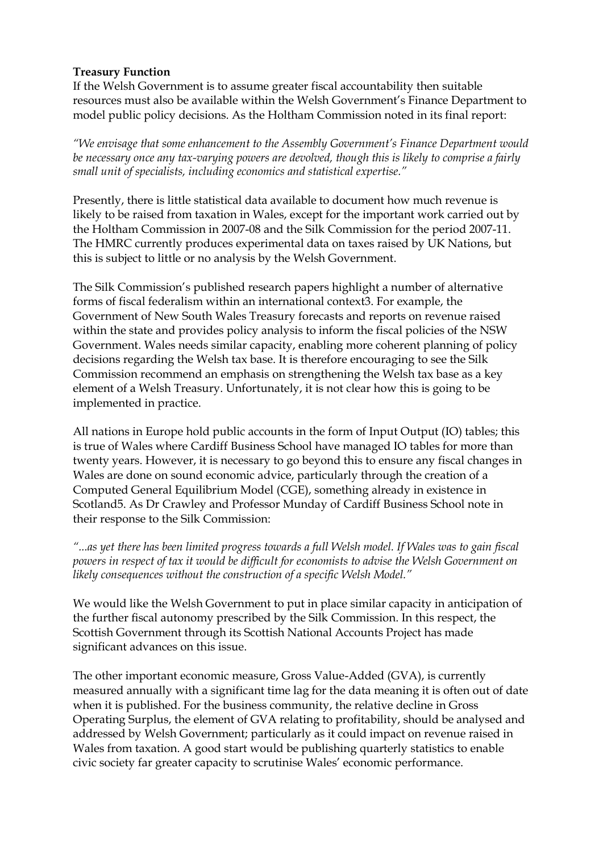## **Treasury Function**

If the Welsh Government is to assume greater fiscal accountability then suitable resources must also be available within the Welsh Government's Finance Department to model public policy decisions. As the Holtham Commission noted in its final report:

*"We envisage that some enhancement to the Assembly Government's Finance Department would be necessary once any tax-varying powers are devolved, though this is likely to comprise a fairly small unit of specialists, including economics and statistical expertise."*

Presently, there is little statistical data available to document how much revenue is likely to be raised from taxation in Wales, except for the important work carried out by the Holtham Commission in 2007-08 and the Silk Commission for the period 2007-11. The HMRC currently produces experimental data on taxes raised by UK Nations, but this is subject to little or no analysis by the Welsh Government.

The Silk Commission's published research papers highlight a number of alternative forms of fiscal federalism within an international context3. For example, the Government of New South Wales Treasury forecasts and reports on revenue raised within the state and provides policy analysis to inform the fiscal policies of the NSW Government. Wales needs similar capacity, enabling more coherent planning of policy decisions regarding the Welsh tax base. It is therefore encouraging to see the Silk Commission recommend an emphasis on strengthening the Welsh tax base as a key element of a Welsh Treasury. Unfortunately, it is not clear how this is going to be implemented in practice.

All nations in Europe hold public accounts in the form of Input Output (IO) tables; this is true of Wales where Cardiff Business School have managed IO tables for more than twenty years. However, it is necessary to go beyond this to ensure any fiscal changes in Wales are done on sound economic advice, particularly through the creation of a Computed General Equilibrium Model (CGE), something already in existence in Scotland5. As Dr Crawley and Professor Munday of Cardiff Business School note in their response to the Silk Commission:

*"...as yet there has been limited progress towards a full Welsh model. If Wales was to gain fiscal powers in respect of tax it would be difficult for economists to advise the Welsh Government on likely consequences without the construction of a specific Welsh Model."*

We would like the Welsh Government to put in place similar capacity in anticipation of the further fiscal autonomy prescribed by the Silk Commission. In this respect, the Scottish Government through its Scottish National Accounts Project has made significant advances on this issue.

The other important economic measure, Gross Value-Added (GVA), is currently measured annually with a significant time lag for the data meaning it is often out of date when it is published. For the business community, the relative decline in Gross Operating Surplus, the element of GVA relating to profitability, should be analysed and addressed by Welsh Government; particularly as it could impact on revenue raised in Wales from taxation. A good start would be publishing quarterly statistics to enable civic society far greater capacity to scrutinise Wales' economic performance.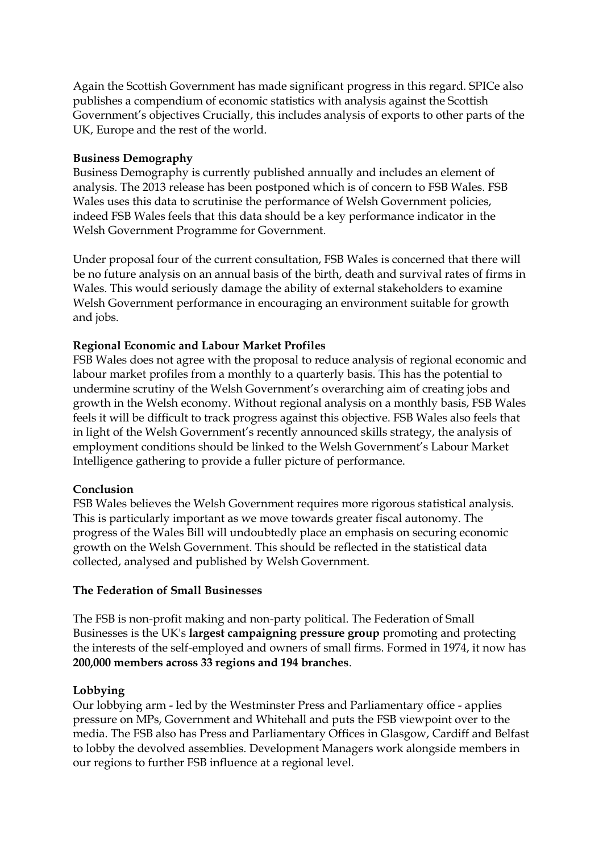Again the Scottish Government has made significant progress in this regard. SPICe also publishes a compendium of economic statistics with analysis against the Scottish Government's objectives Crucially, this includes analysis of exports to other parts of the UK, Europe and the rest of the world.

#### **Business Demography**

Business Demography is currently published annually and includes an element of analysis. The 2013 release has been postponed which is of concern to FSB Wales. FSB Wales uses this data to scrutinise the performance of Welsh Government policies, indeed FSB Wales feels that this data should be a key performance indicator in the Welsh Government Programme for Government.

Under proposal four of the current consultation, FSB Wales is concerned that there will be no future analysis on an annual basis of the birth, death and survival rates of firms in Wales. This would seriously damage the ability of external stakeholders to examine Welsh Government performance in encouraging an environment suitable for growth and jobs.

#### **Regional Economic and Labour Market Profiles**

FSB Wales does not agree with the proposal to reduce analysis of regional economic and labour market profiles from a monthly to a quarterly basis. This has the potential to undermine scrutiny of the Welsh Government's overarching aim of creating jobs and growth in the Welsh economy. Without regional analysis on a monthly basis, FSB Wales feels it will be difficult to track progress against this objective. FSB Wales also feels that in light of the Welsh Government's recently announced skills strategy, the analysis of employment conditions should be linked to the Welsh Government's Labour Market Intelligence gathering to provide a fuller picture of performance.

#### **Conclusion**

FSB Wales believes the Welsh Government requires more rigorous statistical analysis. This is particularly important as we move towards greater fiscal autonomy. The progress of the Wales Bill will undoubtedly place an emphasis on securing economic growth on the Welsh Government. This should be reflected in the statistical data collected, analysed and published by Welsh Government.

#### **The Federation of Small Businesses**

The FSB is non-profit making and non-party political. The Federation of Small Businesses is the UK's **largest campaigning pressure group** promoting and protecting the interests of the self-employed and owners of small firms. Formed in 1974, it now has **200,000 members across 33 regions and 194 branches**.

# **Lobbying**

Our lobbying arm - led by the Westminster Press and Parliamentary office - applies pressure on MPs, Government and Whitehall and puts the FSB viewpoint over to the media. The FSB also has Press and Parliamentary Offices in Glasgow, Cardiff and Belfast to lobby the devolved assemblies. Development Managers work alongside members in our regions to further FSB influence at a regional level.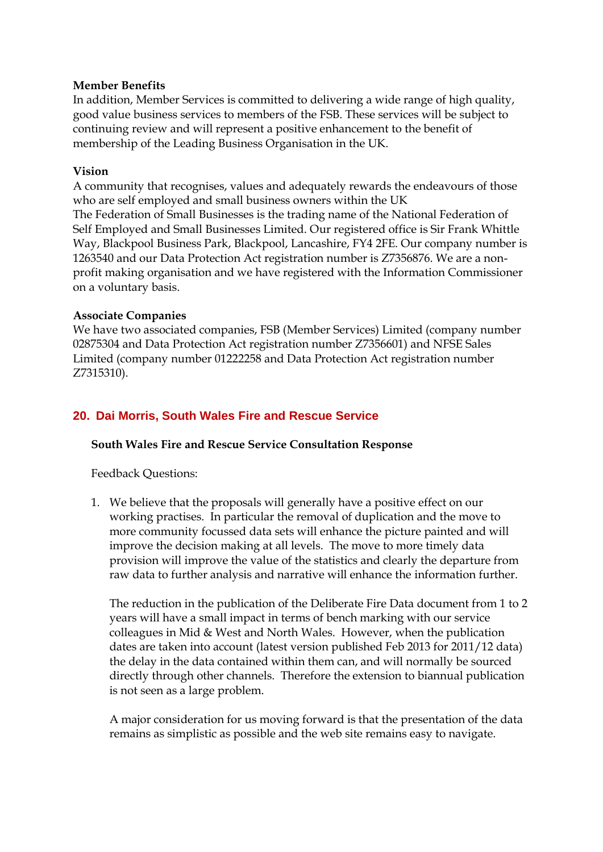#### **Member Benefits**

In addition, Member Services is committed to delivering a wide range of high quality, good value business services to members of the FSB. These services will be subject to continuing review and will represent a positive enhancement to the benefit of membership of the Leading Business Organisation in the UK.

### **Vision**

A community that recognises, values and adequately rewards the endeavours of those who are self employed and small business owners within the UK The Federation of Small Businesses is the trading name of the National Federation of Self Employed and Small Businesses Limited. Our registered office is Sir Frank Whittle Way, Blackpool Business Park, Blackpool, Lancashire, FY4 2FE. Our company number is 1263540 and our Data Protection Act registration number is Z7356876. We are a nonprofit making organisation and we have registered with the Information Commissioner on a voluntary basis.

#### **Associate Companies**

We have two associated companies, FSB (Member Services) Limited (company number 02875304 and Data Protection Act registration number Z7356601) and NFSE Sales Limited (company number 01222258 and Data Protection Act registration number Z7315310).

# <span id="page-30-0"></span>**20. Dai Morris, South Wales Fire and Rescue Service**

# **South Wales Fire and Rescue Service Consultation Response**

Feedback Questions:

1. We believe that the proposals will generally have a positive effect on our working practises. In particular the removal of duplication and the move to more community focussed data sets will enhance the picture painted and will improve the decision making at all levels. The move to more timely data provision will improve the value of the statistics and clearly the departure from raw data to further analysis and narrative will enhance the information further.

The reduction in the publication of the Deliberate Fire Data document from 1 to 2 years will have a small impact in terms of bench marking with our service colleagues in Mid & West and North Wales. However, when the publication dates are taken into account (latest version published Feb 2013 for 2011/12 data) the delay in the data contained within them can, and will normally be sourced directly through other channels. Therefore the extension to biannual publication is not seen as a large problem.

A major consideration for us moving forward is that the presentation of the data remains as simplistic as possible and the web site remains easy to navigate.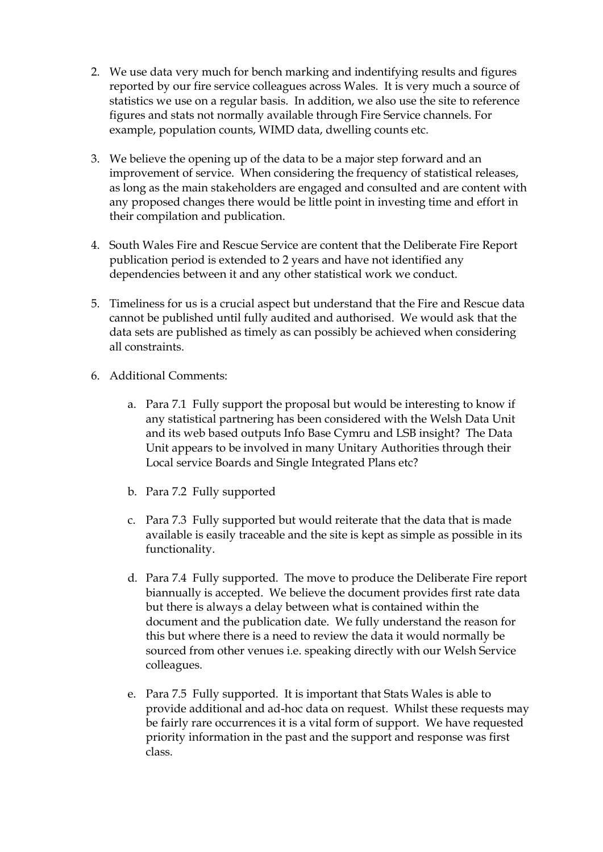- 2. We use data very much for bench marking and indentifying results and figures reported by our fire service colleagues across Wales. It is very much a source of statistics we use on a regular basis. In addition, we also use the site to reference figures and stats not normally available through Fire Service channels. For example, population counts, WIMD data, dwelling counts etc.
- 3. We believe the opening up of the data to be a major step forward and an improvement of service. When considering the frequency of statistical releases, as long as the main stakeholders are engaged and consulted and are content with any proposed changes there would be little point in investing time and effort in their compilation and publication.
- 4. South Wales Fire and Rescue Service are content that the Deliberate Fire Report publication period is extended to 2 years and have not identified any dependencies between it and any other statistical work we conduct.
- 5. Timeliness for us is a crucial aspect but understand that the Fire and Rescue data cannot be published until fully audited and authorised. We would ask that the data sets are published as timely as can possibly be achieved when considering all constraints.
- <span id="page-31-0"></span>6. Additional Comments:
	- a. Para 7.1 Fully support the proposal but would be interesting to know if any statistical partnering has been considered with the Welsh Data Unit and its web based outputs Info Base Cymru and LSB insight? The Data Unit appears to be involved in many Unitary Authorities through their Local service Boards and Single Integrated Plans etc?
	- b. Para 7.2 Fully supported
	- c. Para 7.3 Fully supported but would reiterate that the data that is made available is easily traceable and the site is kept as simple as possible in its functionality.
	- d. Para 7.4 Fully supported. The move to produce the Deliberate Fire report biannually is accepted. We believe the document provides first rate data but there is always a delay between what is contained within the document and the publication date. We fully understand the reason for this but where there is a need to review the data it would normally be sourced from other venues i.e. speaking directly with our Welsh Service colleagues.
	- e. Para 7.5 Fully supported. It is important that Stats Wales is able to provide additional and ad-hoc data on request. Whilst these requests may be fairly rare occurrences it is a vital form of support. We have requested priority information in the past and the support and response was first class.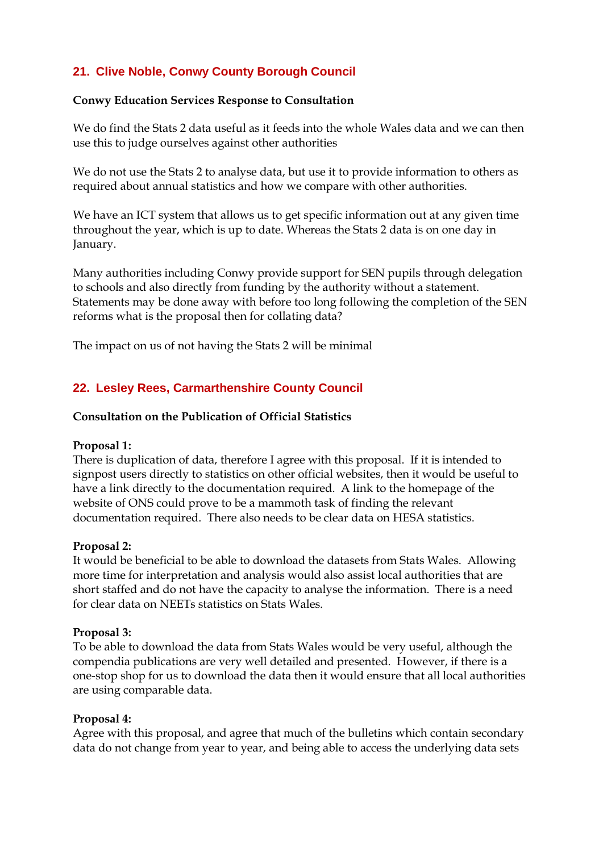# **21. Clive Noble, Conwy County Borough Council**

#### **Conwy Education Services Response to Consultation**

We do find the Stats 2 data useful as it feeds into the whole Wales data and we can then use this to judge ourselves against other authorities

We do not use the Stats 2 to analyse data, but use it to provide information to others as required about annual statistics and how we compare with other authorities.

We have an ICT system that allows us to get specific information out at any given time throughout the year, which is up to date. Whereas the Stats 2 data is on one day in January.

Many authorities including Conwy provide support for SEN pupils through delegation to schools and also directly from funding by the authority without a statement. Statements may be done away with before too long following the completion of the SEN reforms what is the proposal then for collating data?

The impact on us of not having the Stats 2 will be minimal

# <span id="page-32-0"></span>**22. Lesley Rees, Carmarthenshire County Council**

#### **Consultation on the Publication of Official Statistics**

#### **Proposal 1:**

There is duplication of data, therefore I agree with this proposal. If it is intended to signpost users directly to statistics on other official websites, then it would be useful to have a link directly to the documentation required. A link to the homepage of the website of ONS could prove to be a mammoth task of finding the relevant documentation required. There also needs to be clear data on HESA statistics.

#### **Proposal 2:**

It would be beneficial to be able to download the datasets from Stats Wales. Allowing more time for interpretation and analysis would also assist local authorities that are short staffed and do not have the capacity to analyse the information. There is a need for clear data on NEETs statistics on Stats Wales.

#### **Proposal 3:**

To be able to download the data from Stats Wales would be very useful, although the compendia publications are very well detailed and presented. However, if there is a one-stop shop for us to download the data then it would ensure that all local authorities are using comparable data.

#### **Proposal 4:**

Agree with this proposal, and agree that much of the bulletins which contain secondary data do not change from year to year, and being able to access the underlying data sets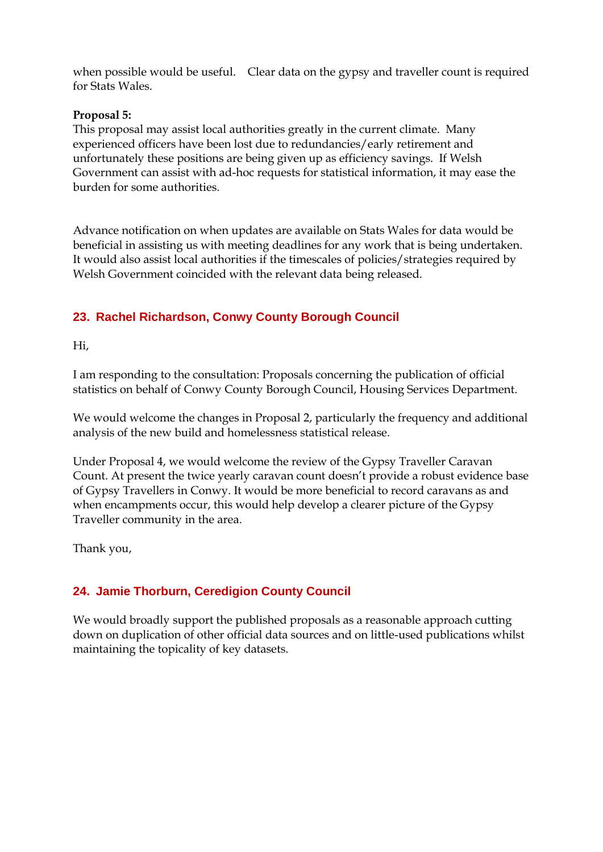when possible would be useful. Clear data on the gypsy and traveller count is required for Stats Wales.

#### **Proposal 5:**

This proposal may assist local authorities greatly in the current climate. Many experienced officers have been lost due to redundancies/early retirement and unfortunately these positions are being given up as efficiency savings. If Welsh Government can assist with ad-hoc requests for statistical information, it may ease the burden for some authorities.

Advance notification on when updates are available on Stats Wales for data would be beneficial in assisting us with meeting deadlines for any work that is being undertaken. It would also assist local authorities if the timescales of policies/strategies required by Welsh Government coincided with the relevant data being released.

# <span id="page-33-0"></span>**23. Rachel Richardson, Conwy County Borough Council**

Hi,

I am responding to the consultation: Proposals concerning the publication of official statistics on behalf of Conwy County Borough Council, Housing Services Department.

We would welcome the changes in Proposal 2, particularly the frequency and additional analysis of the new build and homelessness statistical release.

Under Proposal 4, we would welcome the review of the Gypsy Traveller Caravan Count. At present the twice yearly caravan count doesn't provide a robust evidence base of Gypsy Travellers in Conwy. It would be more beneficial to record caravans as and when encampments occur, this would help develop a clearer picture of the Gypsy Traveller community in the area.

Thank you,

# <span id="page-33-1"></span>**24. Jamie Thorburn, Ceredigion County Council**

We would broadly support the published proposals as a reasonable approach cutting down on duplication of other official data sources and on little-used publications whilst maintaining the topicality of key datasets.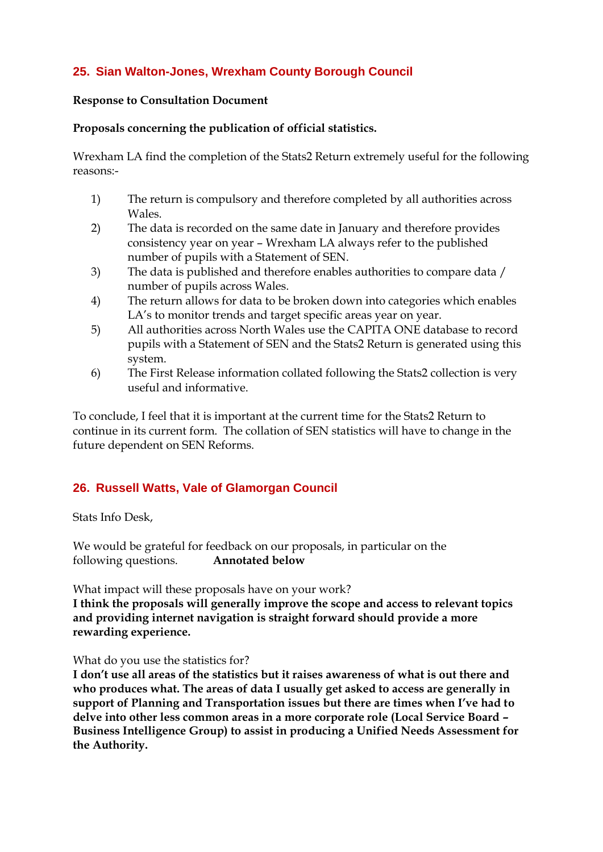# <span id="page-34-0"></span>**25. Sian Walton-Jones, Wrexham County Borough Council**

#### **Response to Consultation Document**

#### **Proposals concerning the publication of official statistics.**

Wrexham LA find the completion of the Stats2 Return extremely useful for the following reasons:-

- 1) The return is compulsory and therefore completed by all authorities across Wales.
- 2) The data is recorded on the same date in January and therefore provides consistency year on year – Wrexham LA always refer to the published number of pupils with a Statement of SEN.
- 3) The data is published and therefore enables authorities to compare data / number of pupils across Wales.
- 4) The return allows for data to be broken down into categories which enables LA's to monitor trends and target specific areas year on year.
- 5) All authorities across North Wales use the CAPITA ONE database to record pupils with a Statement of SEN and the Stats2 Return is generated using this system.
- 6) The First Release information collated following the Stats2 collection is very useful and informative.

To conclude, I feel that it is important at the current time for the Stats2 Return to continue in its current form. The collation of SEN statistics will have to change in the future dependent on SEN Reforms.

# <span id="page-34-1"></span>**26. Russell Watts, Vale of Glamorgan Council**

Stats Info Desk,

We would be grateful for feedback on our proposals, in particular on the following questions. **Annotated below**

What impact will these proposals have on your work?

**I think the proposals will generally improve the scope and access to relevant topics and providing internet navigation is straight forward should provide a more rewarding experience.**

What do you use the statistics for?

**I don't use all areas of the statistics but it raises awareness of what is out there and who produces what. The areas of data I usually get asked to access are generally in support of Planning and Transportation issues but there are times when I've had to delve into other less common areas in a more corporate role (Local Service Board – Business Intelligence Group) to assist in producing a Unified Needs Assessment for the Authority.**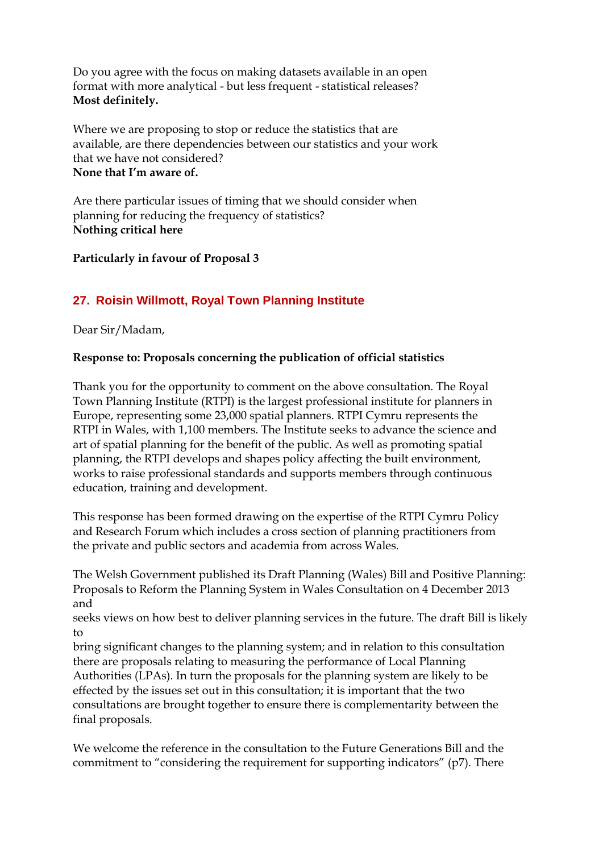Do you agree with the focus on making datasets available in an open format with more analytical - but less frequent - statistical releases? **Most definitely.**

Where we are proposing to stop or reduce the statistics that are available, are there dependencies between our statistics and your work that we have not considered? **None that I'm aware of.**

Are there particular issues of timing that we should consider when planning for reducing the frequency of statistics? **Nothing critical here**

# **Particularly in favour of Proposal 3**

# <span id="page-35-0"></span>**27. Roisin Willmott, Royal Town Planning Institute**

Dear Sir/Madam,

# **Response to: Proposals concerning the publication of official statistics**

Thank you for the opportunity to comment on the above consultation. The Royal Town Planning Institute (RTPI) is the largest professional institute for planners in Europe, representing some 23,000 spatial planners. RTPI Cymru represents the RTPI in Wales, with 1,100 members. The Institute seeks to advance the science and art of spatial planning for the benefit of the public. As well as promoting spatial planning, the RTPI develops and shapes policy affecting the built environment, works to raise professional standards and supports members through continuous education, training and development.

This response has been formed drawing on the expertise of the RTPI Cymru Policy and Research Forum which includes a cross section of planning practitioners from the private and public sectors and academia from across Wales.

The Welsh Government published its Draft Planning (Wales) Bill and Positive Planning: Proposals to Reform the Planning System in Wales Consultation on 4 December 2013 and

seeks views on how best to deliver planning services in the future. The draft Bill is likely to

bring significant changes to the planning system; and in relation to this consultation there are proposals relating to measuring the performance of Local Planning Authorities (LPAs). In turn the proposals for the planning system are likely to be effected by the issues set out in this consultation; it is important that the two consultations are brought together to ensure there is complementarity between the final proposals.

We welcome the reference in the consultation to the Future Generations Bill and the commitment to "considering the requirement for supporting indicators" (p7). There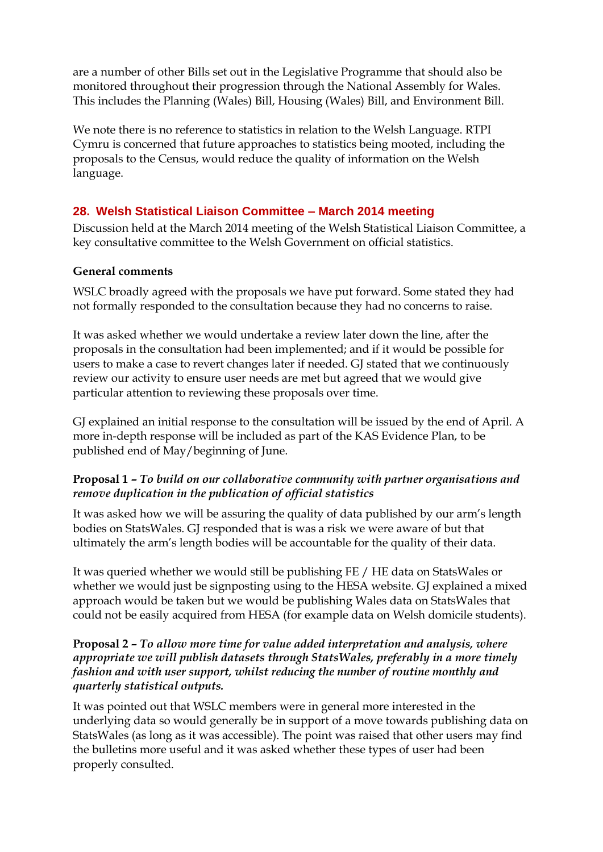are a number of other Bills set out in the Legislative Programme that should also be monitored throughout their progression through the National Assembly for Wales. This includes the Planning (Wales) Bill, Housing (Wales) Bill, and Environment Bill.

We note there is no reference to statistics in relation to the Welsh Language. RTPI Cymru is concerned that future approaches to statistics being mooted, including the proposals to the Census, would reduce the quality of information on the Welsh language.

# <span id="page-36-0"></span>**28. Welsh Statistical Liaison Committee – March 2014 meeting**

Discussion held at the March 2014 meeting of the Welsh Statistical Liaison Committee, a key consultative committee to the Welsh Government on official statistics.

# **General comments**

WSLC broadly agreed with the proposals we have put forward. Some stated they had not formally responded to the consultation because they had no concerns to raise.

It was asked whether we would undertake a review later down the line, after the proposals in the consultation had been implemented; and if it would be possible for users to make a case to revert changes later if needed. GJ stated that we continuously review our activity to ensure user needs are met but agreed that we would give particular attention to reviewing these proposals over time.

GJ explained an initial response to the consultation will be issued by the end of April. A more in-depth response will be included as part of the KAS Evidence Plan, to be published end of May/beginning of June.

# **Proposal 1 –** *To build on our collaborative community with partner organisations and remove duplication in the publication of official statistics*

It was asked how we will be assuring the quality of data published by our arm's length bodies on StatsWales. GJ responded that is was a risk we were aware of but that ultimately the arm's length bodies will be accountable for the quality of their data.

It was queried whether we would still be publishing FE / HE data on StatsWales or whether we would just be signposting using to the HESA website. GJ explained a mixed approach would be taken but we would be publishing Wales data on StatsWales that could not be easily acquired from HESA (for example data on Welsh domicile students).

### **Proposal 2 –** *To allow more time for value added interpretation and analysis, where appropriate we will publish datasets through StatsWales, preferably in a more timely fashion and with user support, whilst reducing the number of routine monthly and quarterly statistical outputs.*

It was pointed out that WSLC members were in general more interested in the underlying data so would generally be in support of a move towards publishing data on StatsWales (as long as it was accessible). The point was raised that other users may find the bulletins more useful and it was asked whether these types of user had been properly consulted.